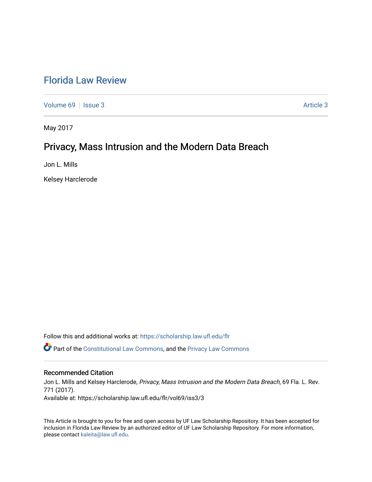# [Florida Law Review](https://scholarship.law.ufl.edu/flr)

[Volume 69](https://scholarship.law.ufl.edu/flr/vol69) | [Issue 3](https://scholarship.law.ufl.edu/flr/vol69/iss3) Article 3

May 2017

# Privacy, Mass Intrusion and the Modern Data Breach

Jon L. Mills

Kelsey Harclerode

Follow this and additional works at: [https://scholarship.law.ufl.edu/flr](https://scholarship.law.ufl.edu/flr?utm_source=scholarship.law.ufl.edu%2Fflr%2Fvol69%2Fiss3%2F3&utm_medium=PDF&utm_campaign=PDFCoverPages)

 $\bullet$  Part of the [Constitutional Law Commons,](https://network.bepress.com/hgg/discipline/589?utm_source=scholarship.law.ufl.edu%2Fflr%2Fvol69%2Fiss3%2F3&utm_medium=PDF&utm_campaign=PDFCoverPages) and the Privacy Law Commons

# Recommended Citation

Jon L. Mills and Kelsey Harclerode, Privacy, Mass Intrusion and the Modern Data Breach, 69 Fla. L. Rev. 771 (2017). Available at: https://scholarship.law.ufl.edu/flr/vol69/iss3/3

This Article is brought to you for free and open access by UF Law Scholarship Repository. It has been accepted for inclusion in Florida Law Review by an authorized editor of UF Law Scholarship Repository. For more information, please contact [kaleita@law.ufl.edu](mailto:kaleita@law.ufl.edu).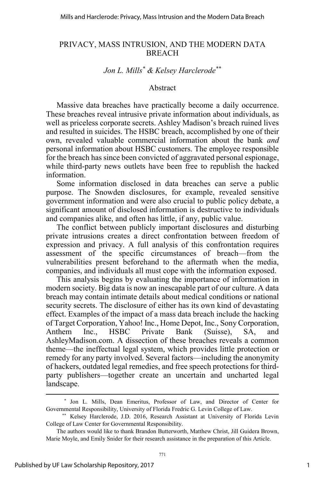# *Jon L. Mills\* & Kelsey Harclerode\*\**

# Abstract

Massive data breaches have practically become a daily occurrence. These breaches reveal intrusive private information about individuals, as well as priceless corporate secrets. Ashley Madison's breach ruined lives and resulted in suicides. The HSBC breach, accomplished by one of their own, revealed valuable commercial information about the bank *and*  personal information about HSBC customers. The employee responsible for the breach has since been convicted of aggravated personal espionage, while third-party news outlets have been free to republish the hacked information.

Some information disclosed in data breaches can serve a public purpose. The Snowden disclosures, for example, revealed sensitive government information and were also crucial to public policy debate, a significant amount of disclosed information is destructive to individuals and companies alike, and often has little, if any, public value.

The conflict between publicly important disclosures and disturbing private intrusions creates a direct confrontation between freedom of expression and privacy. A full analysis of this confrontation requires assessment of the specific circumstances of breach—from the vulnerabilities present beforehand to the aftermath when the media, companies, and individuals all must cope with the information exposed.

This analysis begins by evaluating the importance of information in modern society. Big data is now an inescapable part of our culture. A data breach may contain intimate details about medical conditions or national security secrets. The disclosure of either has its own kind of devastating effect. Examples of the impact of a mass data breach include the hacking of Target Corporation, Yahoo! Inc., Home Depot, Inc., Sony Corporation, Anthem Inc., HSBC Private Bank (Suisse), SA, and AshleyMadison.com. A dissection of these breaches reveals a common theme—the ineffectual legal system, which provides little protection or remedy for any party involved. Several factors—including the anonymity of hackers, outdated legal remedies, and free speech protections for thirdparty publishers—together create an uncertain and uncharted legal landscape.

 <sup>\*</sup> Jon L. Mills, Dean Emeritus, Professor of Law, and Director of Center for Governmental Responsibility, University of Florida Fredric G. Levin College of Law.

<sup>\*\*</sup> Kelsey Harclerode, J.D. 2016, Research Assistant at University of Florida Levin College of Law Center for Governmental Responsibility.

The authors would like to thank Brandon Butterworth, Matthew Christ, Jill Guidera Brown, Marie Moyle, and Emily Snider for their research assistance in the preparation of this Article.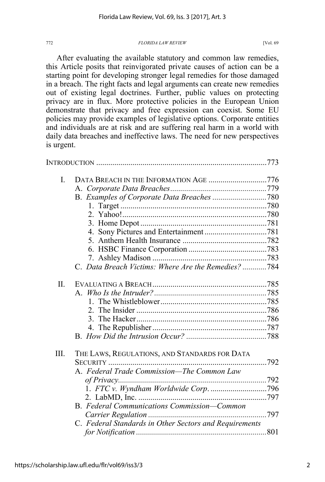After evaluating the available statutory and common law remedies, this Article posits that reinvigorated private causes of action can be a starting point for developing stronger legal remedies for those damaged in a breach. The right facts and legal arguments can create new remedies out of existing legal doctrines. Further, public values on protecting privacy are in flux. More protective policies in the European Union demonstrate that privacy and free expression can coexist. Some EU policies may provide examples of legislative options. Corporate entities and individuals are at risk and are suffering real harm in a world with daily data breaches and ineffective laws. The need for new perspectives is urgent.

| L    | DATA BREACH IN THE INFORMATION AGE 776                 |  |
|------|--------------------------------------------------------|--|
|      |                                                        |  |
|      |                                                        |  |
|      |                                                        |  |
|      |                                                        |  |
|      |                                                        |  |
|      |                                                        |  |
|      |                                                        |  |
|      |                                                        |  |
|      |                                                        |  |
|      | C. Data Breach Victims: Where Are the Remedies? 784    |  |
| II.  |                                                        |  |
|      |                                                        |  |
|      |                                                        |  |
|      |                                                        |  |
|      | 3                                                      |  |
|      |                                                        |  |
|      |                                                        |  |
| III. | THE LAWS, REGULATIONS, AND STANDARDS FOR DATA          |  |
|      | $SECURITY$                                             |  |
|      | A. Federal Trade Commission—The Common Law             |  |
|      |                                                        |  |
|      |                                                        |  |
|      |                                                        |  |
|      | B. Federal Communications Commission-Common            |  |
|      |                                                        |  |
|      | C. Federal Standards in Other Sectors and Requirements |  |
|      |                                                        |  |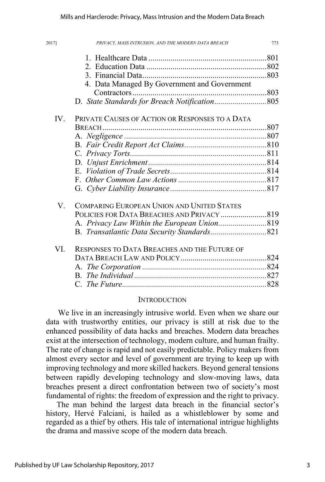| 20171   | PRIVACY, MASS INTRUSION, AND THE MODERN DATA BREACH | 773 |
|---------|-----------------------------------------------------|-----|
|         |                                                     |     |
|         |                                                     |     |
|         |                                                     |     |
|         | 4. Data Managed By Government and Government        |     |
|         |                                                     |     |
|         | D. State Standards for Breach Notification 805      |     |
| IV.     | PRIVATE CAUSES OF ACTION OR RESPONSES TO A DATA     |     |
|         |                                                     |     |
|         |                                                     |     |
|         |                                                     |     |
|         |                                                     |     |
|         |                                                     |     |
|         |                                                     |     |
|         |                                                     |     |
|         |                                                     |     |
| $V_{-}$ | <b>COMPARING EUROPEAN UNION AND UNITED STATES</b>   |     |
|         |                                                     |     |
|         |                                                     |     |
|         |                                                     |     |
| VI.     | RESPONSES TO DATA BREACHES AND THE FUTURE OF        |     |
|         |                                                     |     |
|         |                                                     |     |
|         |                                                     |     |
|         |                                                     |     |
|         |                                                     |     |

### **INTRODUCTION**

We live in an increasingly intrusive world. Even when we share our data with trustworthy entities, our privacy is still at risk due to the enhanced possibility of data hacks and breaches. Modern data breaches exist at the intersection of technology, modern culture, and human frailty. The rate of change is rapid and not easily predictable. Policy makers from almost every sector and level of government are trying to keep up with improving technology and more skilled hackers. Beyond general tensions between rapidly developing technology and slow-moving laws, data breaches present a direct confrontation between two of society's most fundamental of rights: the freedom of expression and the right to privacy.

The man behind the largest data breach in the financial sector's history, Hervé Falciani, is hailed as a whistleblower by some and regarded as a thief by others. His tale of international intrigue highlights the drama and massive scope of the modern data breach.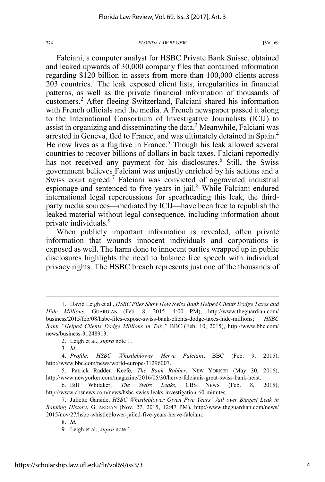Falciani, a computer analyst for HSBC Private Bank Suisse, obtained and leaked upwards of 30,000 company files that contained information regarding \$120 billion in assets from more than 100,000 clients across  $203$  countries.<sup>1</sup> The leak exposed client lists, irregularities in financial patterns, as well as the private financial information of thousands of customers.<sup>2</sup> After fleeing Switzerland, Falciani shared his information with French officials and the media. A French newspaper passed it along to the International Consortium of Investigative Journalists (ICIJ) to assist in organizing and disseminating the data.<sup>3</sup> Meanwhile, Falciani was arrested in Geneva, fled to France, and was ultimately detained in Spain.<sup>4</sup> He now lives as a fugitive in France.<sup>5</sup> Though his leak allowed several countries to recover billions of dollars in back taxes, Falciani reportedly has not received any payment for his disclosures.<sup>6</sup> Still, the Swiss government believes Falciani was unjustly enriched by his actions and a Swiss court agreed.<sup>7</sup> Falciani was convicted of aggravated industrial espionage and sentenced to five years in jail.<sup>8</sup> While Falciani endured international legal repercussions for spearheading this leak, the thirdparty media sources—mediated by ICIJ—have been free to republish the leaked material without legal consequence, including information about private individuals.<sup>9</sup>

When publicly important information is revealed, often private information that wounds innocent individuals and corporations is exposed as well. The harm done to innocent parties wrapped up in public disclosures highlights the need to balance free speech with individual privacy rights. The HSBC breach represents just one of the thousands of

 <sup>1.</sup> David Leigh et al., *HSBC Files Show How Swiss Bank Helped Clients Dodge Taxes and Hide Millions*, GUARDIAN (Feb. 8, 2015, 4:00 PM), http://www.theguardian.com/ business/2015/feb/08/hsbc-files-expose-swiss-bank-clients-dodge-taxes-hide-millions; *HSBC Bank "Helped Clients Dodge Millions in Tax*,*"* BBC (Feb. 10, 2015), http://www.bbc.com/ news/business-31248913.

<sup>2.</sup> Leigh et al., *supra* note 1.

<sup>3.</sup> *Id.*

<sup>4.</sup> *Profile: HSBC Whistleblower Herve Falciani*, BBC (Feb. 9, 2015), http://www.bbc.com/news/world-europe-31296007.

<sup>5.</sup> Patrick Radden Keefe, *The Bank Robber*, NEW YORKER (May 30, 2016), http://www.newyorker.com/magazine/2016/05/30/herve-falcianis-great-swiss-bank-heist.

<sup>6.</sup> Bill Whitaker, *The Swiss Leaks*, CBS NEWS (Feb. 8, 2015), http://www.cbsnews.com/news/hsbc-swiss-leaks-investigation-60-minutes.

<sup>7.</sup> Juliette Garside, *HSBC Whistleblower Given Five Years' Jail over Biggest Leak in Banking History*, GUARDIAN (Nov. 27, 2015, 12:47 PM), http://www.theguardian.com/news/ 2015/nov/27/hsbc-whistleblower-jailed-five-years-herve-falciani.

<sup>8.</sup> *Id.*

<sup>9.</sup> Leigh et al., *supra* note 1.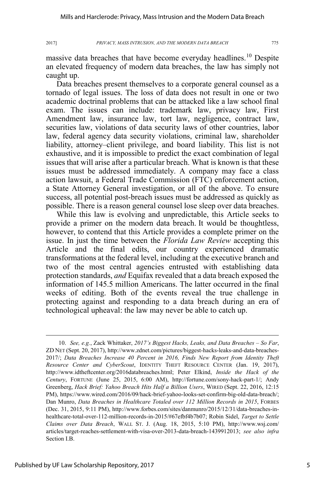massive data breaches that have become everyday headlines.<sup>10</sup> Despite an elevated frequency of modern data breaches, the law has simply not caught up.

Data breaches present themselves to a corporate general counsel as a tornado of legal issues. The loss of data does not result in one or two academic doctrinal problems that can be attacked like a law school final exam. The issues can include: trademark law, privacy law, First Amendment law, insurance law, tort law, negligence, contract law, securities law, violations of data security laws of other countries, labor law, federal agency data security violations, criminal law, shareholder liability, attorney–client privilege, and board liability. This list is not exhaustive, and it is impossible to predict the exact combination of legal issues that will arise after a particular breach. What is known is that these issues must be addressed immediately. A company may face a class action lawsuit, a Federal Trade Commission (FTC) enforcement action, a State Attorney General investigation, or all of the above. To ensure success, all potential post-breach issues must be addressed as quickly as possible. There is a reason general counsel lose sleep over data breaches.

While this law is evolving and unpredictable, this Article seeks to provide a primer on the modern data breach. It would be thoughtless, however, to contend that this Article provides a complete primer on the issue. In just the time between the *Florida Law Review* accepting this Article and the final edits, our country experienced dramatic transformations at the federal level, including at the executive branch and two of the most central agencies entrusted with establishing data protection standards, *and* Equifax revealed that a data breach exposed the information of 145.5 million Americans. The latter occurred in the final weeks of editing. Both of the events reveal the true challenge in protecting against and responding to a data breach during an era of technological upheaval: the law may never be able to catch up.

 <sup>10.</sup> *See, e.g.*, Zack Whittaker, *2017's Biggest Hacks, Leaks, and Data Breaches – So Far*, ZD NET (Sept. 20, 2017), http://www.zdnet.com/pictures/biggest-hacks-leaks-and-data-breaches-2017/; *Data Breaches Increase 40 Percent in 2016, Finds New Report from Identity Theft Resource Center and CyberScout*, IDENTITY THEFT RESOURCE CENTER (Jan. 19, 2017), http://www.idtheftcenter.org/2016databreaches.html; Peter Elkind, *Inside the Hack of the Century*, FORTUNE (June 25, 2015, 6:00 AM), http://fortune.com/sony-hack-part-1/; Andy Greenberg, *Hack Brief: Yahoo Breach Hits Half a Billion Users*, WIRED (Sept. 22, 2016, 12:15 PM), https://www.wired.com/2016/09/hack-brief-yahoo-looks-set-confirm-big-old-data-breach/; Dan Munro, *Data Breaches in Healthcare Totaled over 112 Million Records in 2015*, FORBES (Dec. 31, 2015, 9:11 PM), http://www.forbes.com/sites/danmunro/2015/12/31/data-breaches-inhealthcare-total-over-112-million-records-in-2015/#67efbf4b7b07; Robin Sidel, *Target to Settle Claims over Data Breach*, WALL ST. J. (Aug. 18, 2015, 5:10 PM), http://www.wsj.com/ articles/target-reaches-settlement-with-visa-over-2013-data-breach-1439912013; *see also infra* Section I.B.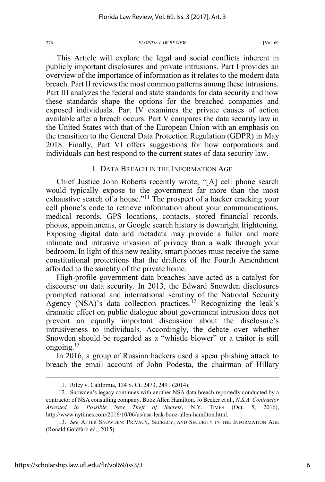This Article will explore the legal and social conflicts inherent in publicly important disclosures and private intrusions. Part I provides an overview of the importance of information as it relates to the modern data breach. Part II reviews the most common patterns among these intrusions. Part III analyzes the federal and state standards for data security and how these standards shape the options for the breached companies and exposed individuals. Part IV examines the private causes of action available after a breach occurs. Part V compares the data security law in the United States with that of the European Union with an emphasis on the transition to the General Data Protection Regulation (GDPR) in May 2018. Finally, Part VI offers suggestions for how corporations and individuals can best respond to the current states of data security law.

### I. DATA BREACH IN THE INFORMATION AGE

Chief Justice John Roberts recently wrote, "[A] cell phone search would typically expose to the government far more than the most exhaustive search of a house."<sup>11</sup> The prospect of a hacker cracking your cell phone's code to retrieve information about your communications, medical records, GPS locations, contacts, stored financial records, photos, appointments, or Google search history is downright frightening. Exposing digital data and metadata may provide a fuller and more intimate and intrusive invasion of privacy than a walk through your bedroom. In light of this new reality, smart phones must receive the same constitutional protections that the drafters of the Fourth Amendment afforded to the sanctity of the private home.

High-profile government data breaches have acted as a catalyst for discourse on data security. In 2013, the Edward Snowden disclosures prompted national and international scrutiny of the National Security Agency (NSA)'s data collection practices.<sup>12</sup> Recognizing the leak's dramatic effect on public dialogue about government intrusion does not prevent an equally important discussion about the disclosure's intrusiveness to individuals. Accordingly, the debate over whether Snowden should be regarded as a "whistle blower" or a traitor is still ongoing. $13$ 

In 2016, a group of Russian hackers used a spear phishing attack to breach the email account of John Podesta, the chairman of Hillary

 <sup>11.</sup> Riley v. California, 134 S. Ct. 2473, 2491 (2014).

<sup>12.</sup> Snowden's legacy continues with another NSA data breach reportedly conducted by a contractor of NSA consulting company, Booz Allen Hamilton. Jo Becker et al., *N.S.A. Contractor Arrested in Possible New Theft of Secrets*, N.Y. TIMES (Oct. 5, 2016), http://www.nytimes.com/2016/10/06/us/nsa-leak-booz-allen-hamilton.html.

<sup>13.</sup> *See* AFTER SNOWDEN: PRIVACY, SECRECY, AND SECURITY IN THE INFORMATION AGE (Ronald Goldfarb ed., 2015).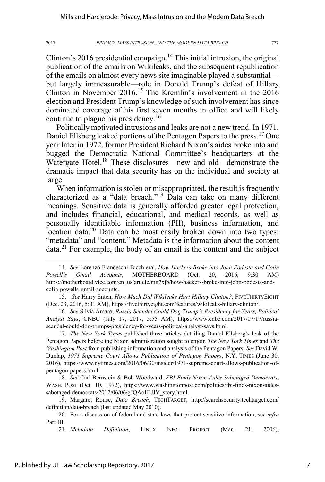Clinton's 2016 presidential campaign.<sup>14</sup> This initial intrusion, the original publication of the emails on Wikileaks, and the subsequent republication of the emails on almost every news site imaginable played a substantial but largely immeasurable—role in Donald Trump's defeat of Hillary Clinton in November 2016.<sup>15</sup> The Kremlin's involvement in the 2016 election and President Trump's knowledge of such involvement has since dominated coverage of his first seven months in office and will likely continue to plague his presidency.<sup>16</sup>

Politically motivated intrusions and leaks are not a new trend. In 1971, Daniel Ellsberg leaked portions of the Pentagon Papers to the press.<sup>17</sup> One year later in 1972, former President Richard Nixon's aides broke into and bugged the Democratic National Committee's headquarters at the Watergate Hotel.<sup>18</sup> These disclosures—new and old—demonstrate the dramatic impact that data security has on the individual and society at large.

When information is stolen or misappropriated, the result is frequently characterized as a "data breach."<sup>19</sup> Data can take on many different meanings. Sensitive data is generally afforded greater legal protection, and includes financial, educational, and medical records, as well as personally identifiable information (PII), business information, and location data.<sup>20</sup> Data can be most easily broken down into two types: "metadata" and "content." Metadata is the information about the content data.<sup>21</sup> For example, the body of an email is the content and the subject

15. *See* Harry Enten, *How Much Did Wikileaks Hurt Hillary Clinton?*, FIVETHIRTYEIGHT (Dec. 23, 2016, 5:01 AM), https://fivethirtyeight.com/features/wikileaks-hillary-clinton/.

16. *See* Silvia Amaro, *Russia Scandal Could Dog Trump's Presidency for Years, Political Analyst Says*, CNBC (July 17, 2017, 5:55 AM), https://www.cnbc.com/2017/07/17/russiascandal-could-dog-trumps-presidency-for-years-political-analyst-says.html.

17. *The New York Times* published three articles detailing Daniel Ellsberg's leak of the Pentagon Papers before the Nixon administration sought to enjoin *The New York Times* and *The Washington Post* from publishing information and analysis of the Pentagon Papers. *See* David W. Dunlap, *1971 Supreme Court Allows Publication of Pentagon Papers*, N.Y. TIMES (June 30, 2016), https://www.nytimes.com/2016/06/30/insider/1971-supreme-court-allows-publication-ofpentagon-papers.html.

18. *See* Carl Bernstein & Bob Woodward, *FBI Finds Nixon Aides Sabotaged Democrats*, WASH. POST (Oct. 10, 1972), https://www.washingtonpost.com/politics/fbi-finds-nixon-aidessabotaged-democrats/2012/06/06/gJQAoHIJJV\_story.html.

19. Margaret Rouse, *Data Breach*, TECHTARGET, http://searchsecurity.techtarget.com/ definition/data-breach (last updated May 2010).

20. For a discussion of federal and state laws that protect sensitive information, see *infra* Part III.

21. *Metadata Definition*, LINUX INFO. PROJECT (Mar. 21, 2006),

 <sup>14.</sup> *See* Lorenzo Franceschi-Bicchierai, *How Hackers Broke into John Podesta and Colin Powell's Gmail Accounts*, MOTHERBOARD (Oct. 20, 2016, 9:30 AM) https://motherboard.vice.com/en\_us/article/mg7xjb/how-hackers-broke-into-john-podesta-andcolin-powells-gmail-accounts.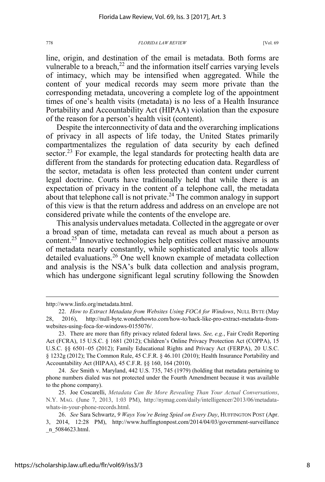line, origin, and destination of the email is metadata. Both forms are vulnerable to a breach, $2<sup>2</sup>$  and the information itself carries varying levels of intimacy, which may be intensified when aggregated. While the content of your medical records may seem more private than the corresponding metadata, uncovering a complete log of the appointment times of one's health visits (metadata) is no less of a Health Insurance Portability and Accountability Act (HIPAA) violation than the exposure of the reason for a person's health visit (content).

Despite the interconnectivity of data and the overarching implications of privacy in all aspects of life today, the United States primarily compartmentalizes the regulation of data security by each defined sector.<sup>23</sup> For example, the legal standards for protecting health data are different from the standards for protecting education data. Regardless of the sector, metadata is often less protected than content under current legal doctrine. Courts have traditionally held that while there is an expectation of privacy in the content of a telephone call, the metadata about that telephone call is not private.<sup>24</sup> The common analogy in support of this view is that the return address and address on an envelope are not considered private while the contents of the envelope are.

This analysis undervalues metadata. Collected in the aggregate or over a broad span of time, metadata can reveal as much about a person as content.25 Innovative technologies help entities collect massive amounts of metadata nearly constantly, while sophisticated analytic tools allow detailed evaluations.<sup>26</sup> One well known example of metadata collection and analysis is the NSA's bulk data collection and analysis program, which has undergone significant legal scrutiny following the Snowden

 $\overline{a}$ 

http://www.linfo.org/metadata.html.

<sup>22.</sup> *How to Extract Metadata from Websites Using FOCA for Windows*, NULL BYTE (May 28, 2016), http://null-byte.wonderhowto.com/how-to/hack-like-pro-extract-metadata-fromwebsites-using-foca-for-windows-0155076/.

<sup>23.</sup> There are more than fifty privacy related federal laws. *See, e.g.*, Fair Credit Reporting Act (FCRA), 15 U.S.C. § 1681 (2012); Children's Online Privacy Protection Act (COPPA), 15 U.S.C. §§ 6501–05 (2012); Family Educational Rights and Privacy Act (FERPA), 20 U.S.C. § 1232g (2012); The Common Rule, 45 C.F.R. § 46.101 (2010); Health Insurance Portability and Accountability Act (HIPAA), 45 C.F.R. §§ 160, 164 (2010).

<sup>24.</sup> *See* Smith v. Maryland, 442 U.S. 735, 745 (1979) (holding that metadata pertaining to phone numbers dialed was not protected under the Fourth Amendment because it was available to the phone company).

<sup>25.</sup> Joe Coscarelli, *Metadata Can Be More Revealing Than Your Actual Conversations*, N.Y. MAG. (June 7, 2013, 1:03 PM), http://nymag.com/daily/intelligencer/2013/06/metadatawhats-in-your-phone-records.html.

<sup>26.</sup> *See* Sara Schwartz, *9 Ways You're Being Spied on Every Day*, HUFFINGTON POST (Apr. 3, 2014, 12:28 PM), http://www.huffingtonpost.com/2014/04/03/government-surveillance \_n\_5084623.html.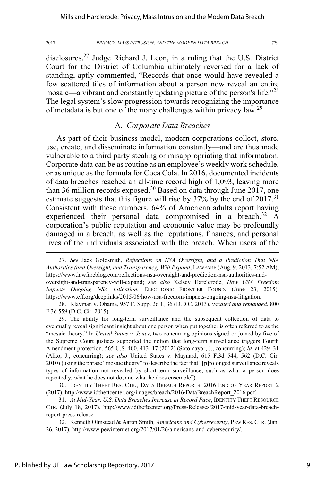disclosures.27 Judge Richard J. Leon, in a ruling that the U.S. District Court for the District of Columbia ultimately reversed for a lack of standing, aptly commented, "Records that once would have revealed a few scattered tiles of information about a person now reveal an entire mosaic—a vibrant and constantly updating picture of the person's life.<sup>"28</sup> The legal system's slow progression towards recognizing the importance of metadata is but one of the many challenges within privacy law.<sup>29</sup>

### A. *Corporate Data Breaches*

As part of their business model, modern corporations collect, store, use, create, and disseminate information constantly—and are thus made vulnerable to a third party stealing or misappropriating that information. Corporate data can be as routine as an employee's weekly work schedule, or as unique as the formula for Coca Cola. In 2016, documented incidents of data breaches reached an all-time record high of 1,093, leaving more than 36 million records exposed.<sup>30</sup> Based on data through June 2017, one estimate suggests that this figure will rise by 37% by the end of 2017.<sup>31</sup> Consistent with these numbers, 64% of American adults report having experienced their personal data compromised in a breach.<sup>32</sup> A corporation's public reputation and economic value may be profoundly damaged in a breach, as well as the reputations, finances, and personal lives of the individuals associated with the breach. When users of the

 <sup>27.</sup> *See* Jack Goldsmith, *Reflections on NSA Oversight, and a Prediction That NSA Authorities (and Oversight, and Transparency) Will Expand*, LAWFARE (Aug. 9, 2013, 7:52 AM), https://www.lawfareblog.com/reflections-nsa-oversight-and-prediction-nsa-authorities-andoversight-and-transparency-will-expand; *see also* Kelsey Harclerode, *How USA Freedom Impacts Ongoing NSA Litigation*, ELECTRONIC FRONTIER FOUND. (June 23, 2015), https://www.eff.org/deeplinks/2015/06/how-usa-freedom-impacts-ongoing-nsa-litigation.

<sup>28.</sup> Klayman v. Obama, 957 F. Supp. 2d 1, 36 (D.D.C. 2013), *vacated and remanded*, 800 F.3d 559 (D.C. Cir. 2015).

<sup>29.</sup> The ability for long-term surveillance and the subsequent collection of data to eventually reveal significant insight about one person when put together is often referred to as the "mosaic theory." In *United States v. Jones*, two concurring opinions signed or joined by five of the Supreme Court justices supported the notion that long-term surveillance triggers Fourth Amendment protection. 565 U.S. 400, 413–17 (2012) (Sotomayor, J., concurring); *Id.* at 429–31 (Alito, J., concurring); *see also* United States v. Maynard, 615 F.3d 544, 562 (D.C. Cir. 2010) (using the phrase "mosaic theory" to describe the fact that "[p]rolonged surveillance reveals types of information not revealed by short-term surveillance, such as what a person does repeatedly, what he does not do, and what he does ensemble").

<sup>30.</sup> IDENTITY THEFT RES. CTR., DATA BREACH REPORTS: 2016 END OF YEAR REPORT 2 (2017), http://www.idtheftcenter.org/images/breach/2016/DataBreachReport\_2016.pdf.

<sup>31.</sup> *At Mid-Year, U.S. Data Breaches Increase at Record Pace*, IDENTITY THEFT RESOURCE CTR. (July 18, 2017), http://www.idtheftcenter.org/Press-Releases/2017-mid-year-data-breachreport-press-release.

<sup>32.</sup> Kenneth Olmstead & Aaron Smith, *Americans and Cybersecurity*, PEW RES. CTR. (Jan. 26, 2017), http://www.pewinternet.org/2017/01/26/americans-and-cybersecurity/.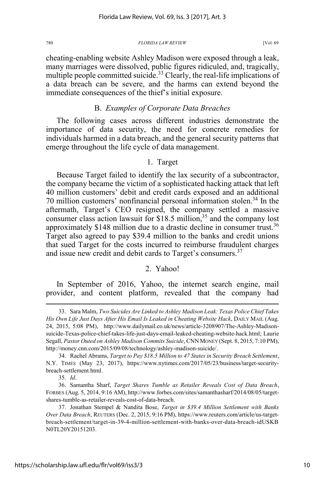cheating-enabling website Ashley Madison were exposed through a leak, many marriages were dissolved, public figures ridiculed, and, tragically, multiple people committed suicide.<sup>33</sup> Clearly, the real-life implications of a data breach can be severe, and the harms can extend beyond the immediate consequences of the thief's initial exposure.

# B. *Examples of Corporate Data Breaches*

The following cases across different industries demonstrate the importance of data security, the need for concrete remedies for individuals harmed in a data breach, and the general security patterns that emerge throughout the life cycle of data management.

# 1. Target

Because Target failed to identify the lax security of a subcontractor, the company became the victim of a sophisticated hacking attack that left 40 million customers' debit and credit cards exposed and an additional 70 million customers' nonfinancial personal information stolen.34 In the aftermath, Target's CEO resigned, the company settled a massive consumer class action lawsuit for  $$18.5$  million,<sup>35</sup> and the company lost approximately \$148 million due to a drastic decline in consumer trust.<sup>36</sup> Target also agreed to pay \$39.4 million to the banks and credit unions that sued Target for the costs incurred to reimburse fraudulent charges and issue new credit and debit cards to Target's consumers.<sup>37</sup>

# 2. Yahoo!

In September of 2016, Yahoo, the internet search engine, mail provider, and content platform, revealed that the company had

35. *Id*.

 <sup>33.</sup> Sara Malm, *Two Suicides Are Linked to Ashley Madison Leak: Texas Police Chief Takes His Own Life Just Days After His Email Is Leaked in Cheating Website Hack*, DAILY MAIL (Aug. 24, 2015, 5:08 PM), http://www.dailymail.co.uk/news/article-3208907/The-Ashley-Madisonsuicide-Texas-police-chief-takes-life-just-days-email-leaked-cheating-website-hack.html; Laurie Segall, *Pastor Outed on Ashley Madison Commits Suicide*, CNN MONEY (Sept. 8, 2015, 7:10 PM), http://money.cnn.com/2015/09/08/technology/ashley-madison-suicide/.

<sup>34.</sup> Rachel Abrams, *Target to Pay \$18.5 Million to 47 States in Security Breach Settlement*, N.Y. TIMES (May 23, 2017), https://www.nytimes.com/2017/05/23/business/target-securitybreach-settlement.html.

<sup>36.</sup> Samantha Sharf, *Target Shares Tumble as Retailer Reveals Cost of Data Breach*, FORBES (Aug. 5, 2014, 9:16 AM), http://www.forbes.com/sites/samanthasharf/2014/08/05/targetshares-tumble-as-retailer-reveals-cost-of-data-breach.

<sup>37.</sup> Jonathan Stempel & Nandita Bose, *Target in \$39.4 Million Settlement with Banks Over Data Breach*, REUTERS (Dec. 2, 2015, 9:16 PM), https://www.reuters.com/article/us-targetbreach-settlement/target-in-39-4-million-settlement-with-banks-over-data-breach-idUSKB N0TL20Y20151203.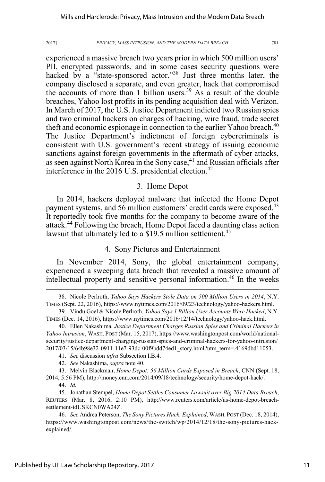experienced a massive breach two years prior in which 500 million users' PII, encrypted passwords, and in some cases security questions were hacked by a "state-sponsored actor."<sup>38</sup> Just three months later, the company disclosed a separate, and even greater, hack that compromised the accounts of more than 1 billion users.<sup>39</sup> As a result of the double breaches, Yahoo lost profits in its pending acquisition deal with Verizon. In March of 2017, the U.S. Justice Department indicted two Russian spies and two criminal hackers on charges of hacking, wire fraud, trade secret theft and economic espionage in connection to the earlier Yahoo breach.<sup>40</sup> The Justice Department's indictment of foreign cybercriminals is consistent with U.S. government's recent strategy of issuing economic sanctions against foreign governments in the aftermath of cyber attacks, as seen against North Korea in the Sony case,<sup>41</sup> and Russian officials after interference in the 2016 U.S. presidential election.<sup>42</sup>

# 3. Home Depot

In 2014, hackers deployed malware that infected the Home Depot payment systems, and 56 million customers' credit cards were exposed.<sup>43</sup> It reportedly took five months for the company to become aware of the attack.<sup>44</sup> Following the breach, Home Depot faced a daunting class action lawsuit that ultimately led to a \$19.5 million settlement.<sup>45</sup>

# 4. Sony Pictures and Entertainment

In November 2014, Sony, the global entertainment company, experienced a sweeping data breach that revealed a massive amount of intellectual property and sensitive personal information.46 In the weeks

 <sup>38.</sup> Nicole Perlroth, *Yahoo Says Hackers Stole Data on 500 Million Users in 2014*, N.Y. TIMES (Sept. 22, 2016), https://www.nytimes.com/2016/09/23/technology/yahoo-hackers.html.

<sup>39.</sup> Vindu Goel & Nicole Perlroth, *Yahoo Says 1 Billion User Accounts Were Hacked*, N.Y. TIMES (Dec. 14, 2016), https://www.nytimes.com/2016/12/14/technology/yahoo-hack.html.

<sup>40.</sup> Ellen Nakashima, *Justice Department Charges Russian Spies and Criminal Hackers in Yahoo Intrusion*, WASH. POST (Mar. 15, 2017), https://www.washingtonpost.com/world/nationalsecurity/justice-department-charging-russian-spies-and-criminal-hackers-for-yahoo-intrusion/ 2017/03/15/64b98e32-0911-11e7-93dc-00f9bdd74ed1\_story.html?utm\_term=.4169dbd11053.

<sup>41.</sup> *See* discussion *infra* Subsection I.B.4.

<sup>42.</sup> *See* Nakashima, *supra* note 40.

<sup>43.</sup> Melvin Blackman, *Home Depot: 56 Million Cards Exposed in Breach*, CNN (Sept. 18, 2014, 5:56 PM), http://money.cnn.com/2014/09/18/technology/security/home-depot-hack/.

<sup>44.</sup> *Id.*

<sup>45.</sup> Jonathan Stempel, *Home Depot Settles Consumer Lawsuit over Big 2014 Data Breach*, REUTERS (Mar. 8, 2016, 2:10 PM), http://www.reuters.com/article/us-home-depot-breachsettlement-idUSKCN0WA24Z.

<sup>46.</sup> *See* Andrea Peterson, *The Sony Pictures Hack, Explained*, WASH. POST (Dec. 18, 2014), https://www.washingtonpost.com/news/the-switch/wp/2014/12/18/the-sony-pictures-hackexplained/.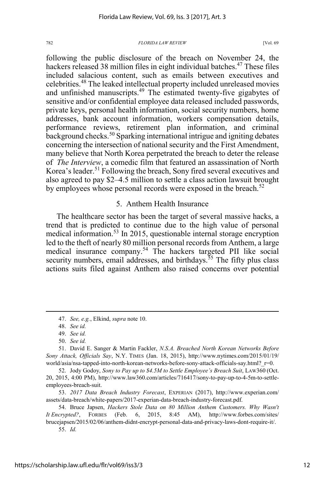following the public disclosure of the breach on November 24, the hackers released 38 million files in eight individual batches.<sup>47</sup> These files included salacious content, such as emails between executives and celebrities.<sup>48</sup> The leaked intellectual property included unreleased movies and unfinished manuscripts.49 The estimated twenty-five gigabytes of sensitive and/or confidential employee data released included passwords, private keys, personal health information, social security numbers, home addresses, bank account information, workers compensation details, performance reviews, retirement plan information, and criminal background checks.<sup>50</sup> Sparking international intrigue and igniting debates concerning the intersection of national security and the First Amendment, many believe that North Korea perpetrated the breach to deter the release of *The Interview*, a comedic film that featured an assassination of North Korea's leader.<sup>51</sup> Following the breach, Sony fired several executives and also agreed to pay \$2–4.5 million to settle a class action lawsuit brought by employees whose personal records were exposed in the breach.<sup>52</sup>

### 5. Anthem Health Insurance

The healthcare sector has been the target of several massive hacks, a trend that is predicted to continue due to the high value of personal medical information.<sup>53</sup> In 2015, questionable internal storage encryption led to the theft of nearly 80 million personal records from Anthem, a large medical insurance company.<sup>54</sup> The hackers targeted PII like social security numbers, email addresses, and birthdays.<sup> $55$ </sup> The fifty plus class actions suits filed against Anthem also raised concerns over potential

 <sup>47.</sup> *See, e.g.*, Elkind, *supra* note 10.

<sup>48.</sup> *See id.*

<sup>49.</sup> *See id.*

<sup>50.</sup> *See id.*

<sup>51.</sup> David E. Sanger & Martin Fackler, *N.S.A. Breached North Korean Networks Before Sony Attack, Officials Say*, N.Y. TIMES (Jan. 18, 2015), http://www.nytimes.com/2015/01/19/ world/asia/nsa-tapped-into-north-korean-networks-before-sony-attack-officials-say.html? r=0.

<sup>52.</sup> Jody Godoy, *Sony to Pay up to \$4.5M to Settle Employee's Breach Suit*, LAW360 (Oct. 20, 2015, 4:00 PM), http://www.law360.com/articles/716417/sony-to-pay-up-to-4-5m-to-settleemployees-breach-suit.

<sup>53.</sup> *2017 Data Breach Industry Forecast*, EXPERIAN (2017), http://www.experian.com/ assets/data-breach/white-papers/2017-experian-data-breach-industry-forecast.pdf.

<sup>54.</sup> Bruce Japsen, *Hackers Stole Data on 80 Million Anthem Customers. Why Wasn't It Encrypted?*, FORBES (Feb. 6, 2015, 8:45 AM), http://www.forbes.com/sites/ brucejapsen/2015/02/06/anthem-didnt-encrypt-personal-data-and-privacy-laws-dont-require-it/.

<sup>55.</sup> *Id.*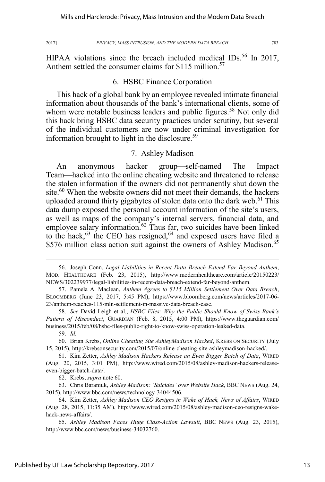HIPAA violations since the breach included medical IDs.<sup>56</sup> In 2017. Anthem settled the consumer claims for \$115 million.<sup>57</sup>

# 6. HSBC Finance Corporation

This hack of a global bank by an employee revealed intimate financial information about thousands of the bank's international clients, some of whom were notable business leaders and public figures.<sup>58</sup> Not only did this hack bring HSBC data security practices under scrutiny, but several of the individual customers are now under criminal investigation for information brought to light in the disclosure.<sup>59</sup>

# 7. Ashley Madison

An anonymous hacker group—self-named The Impact Team—hacked into the online cheating website and threatened to release the stolen information if the owners did not permanently shut down the site.<sup>60</sup> When the website owners did not meet their demands, the hackers uploaded around thirty gigabytes of stolen data onto the dark web.<sup>61</sup> This data dump exposed the personal account information of the site's users, as well as maps of the company's internal servers, financial data, and employee salary information.<sup>62</sup> Thus far, two suicides have been linked to the hack,  $63$  the CEO has resigned,  $64$  and exposed users have filed a \$576 million class action suit against the owners of Ashley Madison.<sup>65</sup>

59. *Id.*

62. Krebs, *supra* note 60.

63. Chris Baraniuk, *Ashley Madison: 'Suicides' over Website Hack*, BBC NEWS (Aug. 24, 2015), http://www.bbc.com/news/technology-34044506.

 <sup>56.</sup> Joseph Conn, *Legal Liabilities in Recent Data Breach Extend Far Beyond Anthem*, MOD. HEALTHCARE (Feb. 23, 2015), http://www.modernhealthcare.com/article/20150223/ NEWS/302239977/legal-liabilities-in-recent-data-breach-extend-far-beyond-anthem.

<sup>57.</sup> Pamela A. Maclean, *Anthem Agrees to \$115 Million Settlement Over Data Breach*, BLOOMBERG (June 23, 2017, 5:45 PM), https://www.bloomberg.com/news/articles/2017-06- 23/anthem-reaches-115-mln-settlement-in-massive-data-breach-case.

<sup>58.</sup> *See* David Leigh et al., *HSBC Files: Why the Public Should Know of Swiss Bank's Pattern of Misconduct*, GUARDIAN (Feb. 8, 2015, 4:00 PM), https://www.theguardian.com/ business/2015/feb/08/hsbc-files-public-right-to-know-swiss-operation-leaked-data.

<sup>60.</sup> Brian Krebs, *Online Cheating Site AshleyMadison Hacked*, KREBS ON SECURITY (July 15, 2015), http://krebsonsecurity.com/2015/07/online-cheating-site-ashleymadison-hacked/.

<sup>61.</sup> Kim Zetter, *Ashley Madison Hackers Release an Even Bigger Batch of Data*, WIRED (Aug. 20, 2015, 3:01 PM), http://www.wired.com/2015/08/ashley-madison-hackers-releaseeven-bigger-batch-data/.

<sup>64.</sup> Kim Zetter, *Ashley Madison CEO Resigns in Wake of Hack, News of Affairs*, WIRED (Aug. 28, 2015, 11:35 AM), http://www.wired.com/2015/08/ashley-madison-ceo-resigns-wakehack-news-affairs/.

<sup>65.</sup> *Ashley Madison Faces Huge Class-Action Lawsuit*, BBC NEWS (Aug. 23, 2015), http://www.bbc.com/news/business-34032760.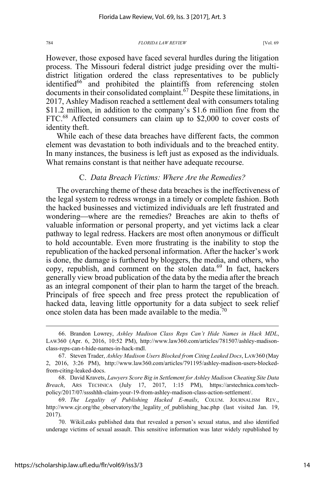However, those exposed have faced several hurdles during the litigation process. The Missouri federal district judge presiding over the multidistrict litigation ordered the class representatives to be publicly identified<sup>66</sup> and prohibited the plaintiffs from referencing stolen documents in their consolidated complaint.<sup>67</sup> Despite these limitations, in 2017, Ashley Madison reached a settlement deal with consumers totaling \$11.2 million, in addition to the company's \$1.6 million fine from the FTC.<sup>68</sup> Affected consumers can claim up to \$2,000 to cover costs of identity theft.

While each of these data breaches have different facts, the common element was devastation to both individuals and to the breached entity. In many instances, the business is left just as exposed as the individuals. What remains constant is that neither have adequate recourse.

# C. *Data Breach Victims: Where Are the Remedies?*

The overarching theme of these data breaches is the ineffectiveness of the legal system to redress wrongs in a timely or complete fashion. Both the hacked businesses and victimized individuals are left frustrated and wondering—where are the remedies? Breaches are akin to thefts of valuable information or personal property, and yet victims lack a clear pathway to legal redress. Hackers are most often anonymous or difficult to hold accountable. Even more frustrating is the inability to stop the republication of the hacked personal information. After the hacker's work is done, the damage is furthered by bloggers, the media, and others, who copy, republish, and comment on the stolen data.<sup>69</sup> In fact, hackers generally view broad publication of the data by the media after the breach as an integral component of their plan to harm the target of the breach. Principals of free speech and free press protect the republication of hacked data, leaving little opportunity for a data subject to seek relief once stolen data has been made available to the media.<sup>70</sup>

68. David Kravets, *Lawyers Score Big in Settlement for Ashley Madison Cheating Site Data Breach*, ARS TECHNICA (July 17, 2017, 1:15 PM), https://arstechnica.com/techpolicy/2017/07/sssshhh-claim-your-19-from-ashley-madison-class-action-settlement/.

 <sup>66.</sup> Brandon Lowrey, *Ashley Madison Class Reps Can't Hide Names in Hack MDL*, LAW360 (Apr. 6, 2016, 10:52 PM), http://www.law360.com/articles/781507/ashley-madisonclass-reps-can-t-hide-names-in-hack-mdl.

<sup>67.</sup> Steven Trader, *Ashley Madison Users Blocked from Citing Leaked Docs*, LAW360 (May 2, 2016, 3:26 PM), http://www.law360.com/articles/791195/ashley-madison-users-blockedfrom-citing-leaked-docs.

<sup>69.</sup> *The Legality of Publishing Hacked E-mails*, COLUM. JOURNALISM REV., http://www.cjr.org/the\_observatory/the\_legality\_of\_publishing\_hac.php (last\_visited Jan. 19, 2017).

<sup>70.</sup> WikiLeaks published data that revealed a person's sexual status, and also identified underage victims of sexual assault. This sensitive information was later widely republished by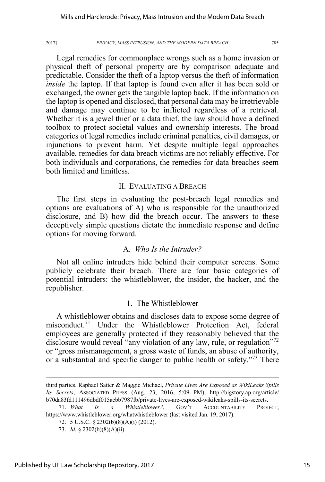Legal remedies for commonplace wrongs such as a home invasion or physical theft of personal property are by comparison adequate and predictable. Consider the theft of a laptop versus the theft of information *inside* the laptop. If that laptop is found even after it has been sold or exchanged, the owner gets the tangible laptop back. If the information on the laptop is opened and disclosed, that personal data may be irretrievable and damage may continue to be inflicted regardless of a retrieval. Whether it is a jewel thief or a data thief, the law should have a defined toolbox to protect societal values and ownership interests. The broad categories of legal remedies include criminal penalties, civil damages, or injunctions to prevent harm. Yet despite multiple legal approaches available, remedies for data breach victims are not reliably effective. For both individuals and corporations, the remedies for data breaches seem both limited and limitless.

# II. EVALUATING A BREACH

The first steps in evaluating the post-breach legal remedies and options are evaluations of A) who is responsible for the unauthorized disclosure, and B) how did the breach occur. The answers to these deceptively simple questions dictate the immediate response and define options for moving forward.

# A. *Who Is the Intruder?*

Not all online intruders hide behind their computer screens. Some publicly celebrate their breach. There are four basic categories of potential intruders: the whistleblower, the insider, the hacker, and the republisher.

# 1. The Whistleblower

A whistleblower obtains and discloses data to expose some degree of misconduct.<sup>71</sup> Under the Whistleblower Protection Act, federal employees are generally protected if they reasonably believed that the disclosure would reveal "any violation of any law, rule, or regulation"<sup>72</sup> or "gross mismanagement, a gross waste of funds, an abuse of authority, or a substantial and specific danger to public health or safety."<sup>73</sup> There

 $\overline{a}$ 

third parties. Raphael Satter & Maggie Michael, *Private Lives Are Exposed as WikiLeaks Spills Its Secrets*, ASSOCIATED PRESS (Aug. 23, 2016, 5:09 PM), http://bigstory.ap.org/article/ b70da83fd111496dbdf015acbb7987fb/private-lives-are-exposed-wikileaks-spills-its-secrets.

<sup>71.</sup> *What Is a Whistleblower?*, GOV'T ACCOUNTABILITY PROJECT, https://www.whistleblower.org/whatwhistleblower (last visited Jan. 19, 2017).

<sup>72. 5</sup> U.S.C. § 2302(b)(8)(A)(i) (2012).

<sup>73.</sup> *Id.* § 2302(b)(8)(A)(ii).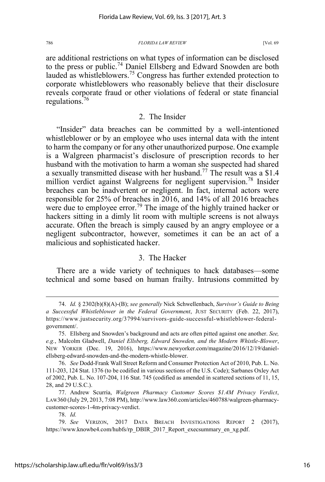are additional restrictions on what types of information can be disclosed to the press or public.<sup>74</sup> Daniel Ellsberg and Edward Snowden are both lauded as whistleblowers.<sup>75</sup> Congress has further extended protection to corporate whistleblowers who reasonably believe that their disclosure reveals corporate fraud or other violations of federal or state financial regulations.<sup>76</sup>

### 2. The Insider

"Insider" data breaches can be committed by a well-intentioned whistleblower or by an employee who uses internal data with the intent to harm the company or for any other unauthorized purpose. One example is a Walgreen pharmacist's disclosure of prescription records to her husband with the motivation to harm a woman she suspected had shared a sexually transmitted disease with her husband.<sup>77</sup> The result was a \$1.4 million verdict against Walgreens for negligent supervision.<sup>78</sup> Insider breaches can be inadvertent or negligent. In fact, internal actors were responsible for 25% of breaches in 2016, and 14% of all 2016 breaches were due to employee error.<sup>79</sup> The image of the highly trained hacker or hackers sitting in a dimly lit room with multiple screens is not always accurate. Often the breach is simply caused by an angry employee or a negligent subcontractor, however, sometimes it can be an act of a malicious and sophisticated hacker.

### 3. The Hacker

There are a wide variety of techniques to hack databases—some technical and some based on human frailty. Intrusions committed by

 <sup>74.</sup> *Id.* § 2302(b)(8)(A)-(B); *see generally* Nick Schwellenbach, *Survivor's Guide to Being a Successful Whistleblower in the Federal Government*, JUST SECURITY (Feb. 22, 2017), https://www.justsecurity.org/37994/survivors-guide-successful-whistleblower-federalgovernment/.

<sup>75.</sup> Ellsberg and Snowden's background and acts are often pitted against one another. *See, e.g.*, Malcolm Gladwell, *Daniel Ellsberg, Edward Snowden, and the Modern Whistle-Blower*, NEW YORKER (Dec. 19, 2016), https://www.newyorker.com/magazine/2016/12/19/danielellsberg-edward-snowden-and-the-modern-whistle-blower.

<sup>76.</sup> *See* Dodd-Frank Wall Street Reform and Consumer Protection Act of 2010, Pub. L. No. 111-203, 124 Stat. 1376 (to be codified in various sections of the U.S. Code); Sarbanes Oxley Act of 2002, Pub. L. No. 107-204, 116 Stat. 745 (codified as amended in scattered sections of 11, 15, 28, and 29 U.S.C.).

<sup>77.</sup> Andrew Scurria, *Walgreen Pharmacy Customer Scores \$1.4M Privacy Verdict*, LAW360 (July 29, 2013, 7:08 PM), http://www.law360.com/articles/460788/walgreen-pharmacycustomer-scores-1-4m-privacy-verdict.

<sup>78.</sup> *Id.*

<sup>79.</sup> *See* VERIZON, 2017 DATA BREACH INVESTIGATIONS REPORT 2 (2017), https://www.knowbe4.com/hubfs/rp\_DBIR\_2017\_Report\_execsummary\_en\_xg.pdf.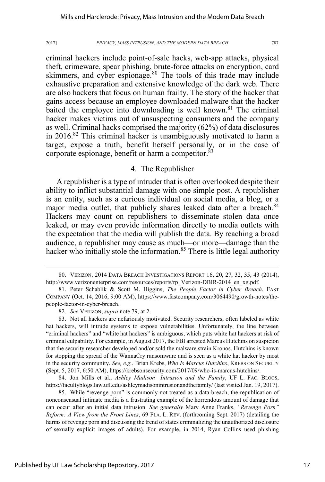criminal hackers include point-of-sale hacks, web-app attacks, physical theft, crimeware, spear phishing, brute-force attacks on encryption, card skimmers, and cyber espionage.<sup>80</sup> The tools of this trade may include exhaustive preparation and extensive knowledge of the dark web. There are also hackers that focus on human frailty. The story of the hacker that gains access because an employee downloaded malware that the hacker baited the employee into downloading is well known.<sup>81</sup> The criminal hacker makes victims out of unsuspecting consumers and the company as well. Criminal hacks comprised the majority (62%) of data disclosures in 2016.82 This criminal hacker is unambiguously motivated to harm a target, expose a truth, benefit herself personally, or in the case of corporate espionage, benefit or harm a competitor.<sup>83</sup>

### 4. The Republisher

A republisher is a type of intruder that is often overlooked despite their ability to inflict substantial damage with one simple post. A republisher is an entity, such as a curious individual on social media, a blog, or a major media outlet, that publicly shares leaked data after a breach.<sup>84</sup> Hackers may count on republishers to disseminate stolen data once leaked, or may even provide information directly to media outlets with the expectation that the media will publish the data. By reaching a broad audience, a republisher may cause as much—or more—damage than the hacker who initially stole the information.<sup>85</sup> There is little legal authority

84. Jon Mills et al., *Ashley Madison—Intrusion and the Family*, UF L. FAC. BLOGS, https://facultyblogs.law.ufl.edu/ashleymadisonintrusionandthefamily/ (last visited Jan. 19, 2017).

85. While "revenge porn" is commonly not treated as a data breach, the republication of nonconsensual intimate media is a frustrating example of the horrendous amount of damage that can occur after an initial data intrusion. *See generally* Mary Anne Franks, *"Revenge Porn" Reform: A View from the Front Lines*, 69 FLA. L. REV. (forthcoming Sept. 2017) (detailing the harms of revenge porn and discussing the trend of states criminalizing the unauthorized disclosure of sexually explicit images of adults). For example, in 2014, Ryan Collins used phishing

 <sup>80.</sup> VERIZON, 2014 DATA BREACH INVESTIGATIONS REPORT 16, 20, 27, 32, 35, 43 (2014), http://www.verizonenterprise.com/resources/reports/rp\_Verizon-DBIR-2014\_en\_xg.pdf.

<sup>81.</sup> Peter Schablik & Scott M. Higgins, *The People Factor in Cyber Breach*, FAST COMPANY (Oct. 14, 2016, 9:00 AM), https://www.fastcompany.com/3064490/growth-notes/thepeople-factor-in-cyber-breach.

<sup>82.</sup> *See* VERIZON, *supra* note 79, at 2.

<sup>83.</sup> Not all hackers are nefariously motivated. Security researchers, often labeled as white hat hackers, will intrude systems to expose vulnerabilities. Unfortunately, the line between "criminal hackers" and "white hat hackers" is ambiguous, which puts white hat hackers at risk of criminal culpability. For example, in August 2017, the FBI arrested Marcus Hutchins on suspicion that the security researcher developed and/or sold the malware strain Kronos. Hutchins is known for stopping the spread of the WannaCry ransomware and is seen as a white hat hacker by most in the security community. *See, e.g.*, Brian Krebs, *Who Is Marcus Hutchins*, KREBS ON SECURITY (Sept. 5, 2017, 6:50 AM), https://krebsonsecurity.com/2017/09/who-is-marcus-hutchins/.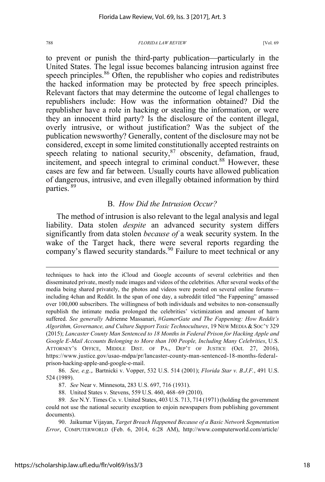to prevent or punish the third-party publication—particularly in the United States. The legal issue becomes balancing intrusion against free speech principles.<sup>86</sup> Often, the republisher who copies and redistributes the hacked information may be protected by free speech principles. Relevant factors that may determine the outcome of legal challenges to republishers include: How was the information obtained? Did the republisher have a role in hacking or stealing the information, or were they an innocent third party? Is the disclosure of the content illegal, overly intrusive, or without justification? Was the subject of the publication newsworthy? Generally, content of the disclosure may not be considered, except in some limited constitutionally accepted restraints on speech relating to national security, $87$  obscenity, defamation, fraud, incitement, and speech integral to criminal conduct.<sup>88</sup> However, these cases are few and far between. Usually courts have allowed publication of dangerous, intrusive, and even illegally obtained information by third parties. <sup>89</sup>

# B. *How Did the Intrusion Occur?*

The method of intrusion is also relevant to the legal analysis and legal liability. Data stolen *despite* an advanced security system differs significantly from data stolen *because of* a weak security system. In the wake of the Target hack, there were several reports regarding the company's flawed security standards.<sup>90</sup> Failure to meet technical or any

86. *See, e.g.*,*.* Bartnicki v. Vopper, 532 U.S. 514 (2001); *Florida Star v. B.J.F.*, 491 U.S. 524 (1989).

87. *See* Near v. Minnesota, 283 U.S. 697, 716 (1931).

88. United States v. Stevens, 559 U.S. 460, 468–69 (2010).

90. Jaikumar Vijayan, *Target Breach Happened Because of a Basic Network Segmentation Error*, COMPUTERWORLD (Feb. 6, 2014, 6:28 AM), http://www.computerworld.com/article/

 $\overline{a}$ 

techniques to hack into the iCloud and Google accounts of several celebrities and then disseminated private, mostly nude images and videos of the celebrities. After several weeks of the media being shared privately, the photos and videos were posted on several online forums including 4chan and Reddit. In the span of one day, a subreddit titled "the Fappening" amassed over 100,000 subscribers. The willingness of both individuals and websites to non-consensually republish the intimate media prolonged the celebrities' victimization and amount of harm suffered. *See generally* Adrienne Massanari, #*GamerGate and The Fappening: How Reddit's Algorithm, Governance, and Culture Support Toxic Technocultures*, 19 NEW MEDIA & SOC'Y 329 (2015); *Lancaster County Man Sentenced to 18 Months in Federal Prison for Hacking Apple and Google E-Mail Accounts Belonging to More than 100 People, Including Many Celebrities*, U.S. ATTORNEY'S OFFICE, MIDDLE DIST. OF PA., DEP'T OF JUSTICE (Oct. 27, 2016), https://www.justice.gov/usao-mdpa/pr/lancaster-county-man-sentenced-18-months-federalprison-hacking-apple-and-google-e-mail.

<sup>89</sup>*. See* N.Y. Times Co. v. United States, 403 U.S. 713, 714 (1971) (holding the government could not use the national security exception to enjoin newspapers from publishing government documents).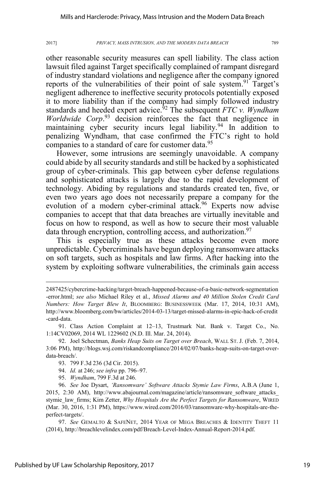other reasonable security measures can spell liability. The class action lawsuit filed against Target specifically complained of rampant disregard of industry standard violations and negligence after the company ignored reports of the vulnerabilities of their point of sale system.<sup>91</sup> Target's negligent adherence to ineffective security protocols potentially exposed it to more liability than if the company had simply followed industry standards and heeded expert advice.<sup>92</sup> The subsequent *FTC v. Wyndham Worldwide Corp*. <sup>93</sup> decision reinforces the fact that negligence in maintaining cyber security incurs legal liability.<sup>94</sup> In addition to penalizing Wyndham, that case confirmed the FTC's right to hold companies to a standard of care for customer data.<sup>95</sup>

However, some intrusions are seemingly unavoidable. A company could abide by all security standards and still be hacked by a sophisticated group of cyber-criminals. This gap between cyber defense regulations and sophisticated attacks is largely due to the rapid development of technology. Abiding by regulations and standards created ten, five, or even two years ago does not necessarily prepare a company for the evolution of a modern cyber-criminal attack.<sup>96</sup> Experts now advise companies to accept that that data breaches are virtually inevitable and focus on how to respond, as well as how to secure their most valuable data through encryption, controlling access, and authorization.<sup>97</sup>

This is especially true as these attacks become even more unpredictable. Cybercriminals have begun deploying ransomware attacks on soft targets, such as hospitals and law firms. After hacking into the system by exploiting software vulnerabilities, the criminals gain access

91. Class Action Complaint at 12–13, Trustmark Nat. Bank v. Target Co., No. 1:14CV02069, 2014 WL 1229602 (N.D. Ill. Mar. 24, 2014).

92. Joel Schectman, *Banks Heap Suits on Target over Breach*, WALL ST. J. (Feb. 7, 2014, 3:06 PM), http://blogs.wsj.com/riskandcompliance/2014/02/07/banks-heap-suits-on-target-overdata-breach/.

- 93. 799 F.3d 236 (3d Cir. 2015).
- 94. *Id.* at 246; *see infra* pp. 796–97.
- 95. *Wyndham*, 799 F.3d at 246.

96. *See* Joe Dysart, *'Ransomware' Software Attacks Stymie Law Firms*, A.B.A (June 1, 2015, 2:30 AM), http://www.abajournal.com/magazine/article/ransomware\_software\_attacks\_ stymie\_law\_firms; Kim Zetter, *Why Hospitals Are the Perfect Targets for Ransomware*, WIRED (Mar. 30, 2016, 1:31 PM), https://www.wired.com/2016/03/ransomware-why-hospitals-are-theperfect-targets/.

97. *See* GEMALTO & SAFENET, 2014 YEAR OF MEGA BREACHES & IDENTITY THEFT 11 (2014), http://breachlevelindex.com/pdf/Breach-Level-Index-Annual-Report-2014.pdf.

 $\overline{a}$ 

<sup>2487425/</sup>cybercrime-hacking/target-breach-happened-because-of-a-basic-network-segmentation -error.html; *see also* Michael Riley et al., *Missed Alarms and 40 Million Stolen Credit Card Numbers: How Target Blew It*, BLOOMBERG: BUSINESSWEEK (Mar. 17, 2014, 10:31 AM), http://www.bloomberg.com/bw/articles/2014-03-13/target-missed-alarms-in-epic-hack-of-credit -card-data.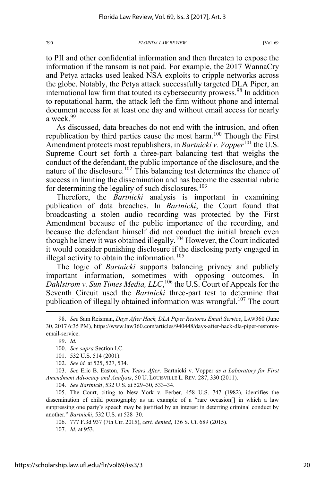to PII and other confidential information and then threaten to expose the information if the ransom is not paid. For example, the 2017 WannaCry and Petya attacks used leaked NSA exploits to cripple networks across the globe. Notably, the Petya attack successfully targeted DLA Piper, an international law firm that touted its cybersecurity prowess.<sup>98</sup> In addition to reputational harm, the attack left the firm without phone and internal document access for at least one day and without email access for nearly a week.<sup>99</sup>

As discussed, data breaches do not end with the intrusion, and often republication by third parties cause the most harm.<sup>100</sup> Though the First Amendment protects most republishers, in *Bartnicki v. Vopper*<sup>101</sup> the U.S. Supreme Court set forth a three-part balancing test that weighs the conduct of the defendant, the public importance of the disclosure, and the nature of the disclosure.<sup>102</sup> This balancing test determines the chance of success in limiting the dissemination and has become the essential rubric for determining the legality of such disclosures.<sup>103</sup>

Therefore, the *Bartnicki* analysis is important in examining publication of data breaches. In *Bartnicki*, the Court found that broadcasting a stolen audio recording was protected by the First Amendment because of the public importance of the recording, and because the defendant himself did not conduct the initial breach even though he knew it was obtained illegally.<sup>104</sup> However, the Court indicated it would consider punishing disclosure if the disclosing party engaged in illegal activity to obtain the information.<sup>105</sup>

The logic of *Bartnicki* supports balancing privacy and publicly important information, sometimes with opposing outcomes. In Dahlstrom v. Sun Times Media, LLC,<sup>106</sup> the U.S. Court of Appeals for the Seventh Circuit used the *Bartnicki* three-part test to determine that publication of illegally obtained information was wrongful.<sup>107</sup> The court

103. *See* Eric B. Easton, *Ten Years After:* Bartnicki v. Vopper *as a Laboratory for First Amendment Advocacy and Analysis*, 50 U. LOUISVILLE L. REV. 287, 330 (2011).

104. *See Bartnicki*, 532 U.S. at 529–30, 533–34.

105. The Court, citing to New York v. Ferber, 458 U.S. 747 (1982), identifies the dissemination of child pornography as an example of a "rare occasion[] in which a law suppressing one party's speech may be justified by an interest in deterring criminal conduct by another." *Bartnicki*, 532 U.S. at 528–30.

106. 777 F.3d 937 (7th Cir. 2015), *cert. denied*, 136 S. Ct. 689 (2015). 107. *Id.* at 953.

 <sup>98.</sup> *See* Sam Reisman, *Days After Hack, DLA Piper Restores Email Service*, LAW360 (June 30, 2017 6:35 PM), https://www.law360.com/articles/940448/days-after-hack-dla-piper-restoresemail-service.

<sup>99.</sup> *Id.* 

<sup>100.</sup> *See supra* Section I.C.

<sup>101. 532</sup> U.S. 514 (2001).

<sup>102.</sup> *See id.* at 525, 527, 534.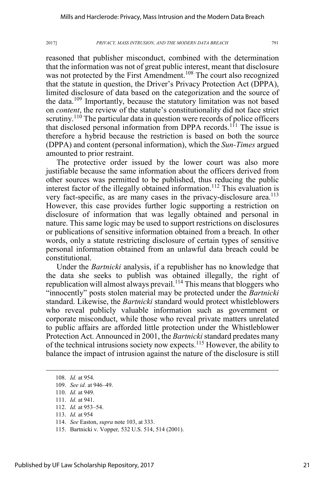reasoned that publisher misconduct, combined with the determination that the information was not of great public interest, meant that disclosure was not protected by the First Amendment.<sup>108</sup> The court also recognized that the statute in question, the Driver's Privacy Protection Act (DPPA), limited disclosure of data based on the categorization and the source of the data.<sup>109</sup> Importantly, because the statutory limitation was not based on *content*, the review of the statute's constitutionality did not face strict scrutiny.<sup>110</sup> The particular data in question were records of police officers that disclosed personal information from DPPA records.<sup>111</sup> The issue is therefore a hybrid because the restriction is based on both the source (DPPA) and content (personal information), which the *Sun-Times* argued amounted to prior restraint.

The protective order issued by the lower court was also more justifiable because the same information about the officers derived from other sources was permitted to be published, thus reducing the public interest factor of the illegally obtained information.<sup>112</sup> This evaluation is very fact-specific, as are many cases in the privacy-disclosure area.<sup>113</sup> However, this case provides further logic supporting a restriction on disclosure of information that was legally obtained and personal in nature. This same logic may be used to support restrictions on disclosures or publications of sensitive information obtained from a breach. In other words, only a statute restricting disclosure of certain types of sensitive personal information obtained from an unlawful data breach could be constitutional.

Under the *Bartnicki* analysis, if a republisher has no knowledge that the data she seeks to publish was obtained illegally, the right of republication will almost always prevail.<sup>114</sup> This means that bloggers who "innocently" posts stolen material may be protected under the *Bartnicki* standard. Likewise, the *Bartnicki* standard would protect whistleblowers who reveal publicly valuable information such as government or corporate misconduct, while those who reveal private matters unrelated to public affairs are afforded little protection under the Whistleblower Protection Act. Announced in 2001, the *Bartnicki* standard predates many of the technical intrusions society now expects.<sup>115</sup> However, the ability to balance the impact of intrusion against the nature of the disclosure is still

 <sup>108.</sup> *Id.* at 954.

<sup>109.</sup> *See id.* at 946–49.

<sup>110.</sup> *Id.* at 949.

<sup>111.</sup> *Id.* at 941.

<sup>112.</sup> *Id.* at 953–54.

<sup>113.</sup> *Id.* at 954

<sup>114.</sup> *See* Easton, *supra* note 103, at 333.

<sup>115.</sup> Bartnicki v. Vopper*,* 532 U.S. 514, 514 (2001).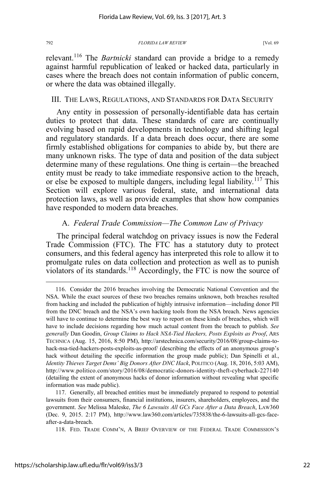relevant.<sup>116</sup> The *Bartnicki* standard can provide a bridge to a remedy against harmful republication of leaked or hacked data, particularly in cases where the breach does not contain information of public concern, or where the data was obtained illegally.

# III. THE LAWS, REGULATIONS, AND STANDARDS FOR DATA SECURITY

Any entity in possession of personally-identifiable data has certain duties to protect that data. These standards of care are continually evolving based on rapid developments in technology and shifting legal and regulatory standards. If a data breach does occur, there are some firmly established obligations for companies to abide by, but there are many unknown risks. The type of data and position of the data subject determine many of these regulations. One thing is certain—the breached entity must be ready to take immediate responsive action to the breach, or else be exposed to multiple dangers, including legal liability.<sup>117</sup> This Section will explore various federal, state, and international data protection laws, as well as provide examples that show how companies have responded to modern data breaches.

# A. *Federal Trade Commission—The Common Law of Privacy*

The principal federal watchdog on privacy issues is now the Federal Trade Commission (FTC). The FTC has a statutory duty to protect consumers, and this federal agency has interpreted this role to allow it to promulgate rules on data collection and protection as well as to punish violators of its standards.<sup>118</sup> Accordingly, the FTC is now the source of

 <sup>116.</sup> Consider the 2016 breaches involving the Democratic National Convention and the NSA. While the exact sources of these two breaches remains unknown, both breaches resulted from hacking and included the publication of highly intrusive information—including donor PII from the DNC breach and the NSA's own hacking tools from the NSA breach. News agencies will have to continue to determine the best way to report on these kinds of breaches, which will have to include decisions regarding how much actual content from the breach to publish. *See generally* Dan Goodin, *Group Claims to Hack NSA-Tied Hackers, Posts Exploits as Proof*, ARS TECHNICA (Aug. 15, 2016, 8:50 PM), http://arstechnica.com/security/2016/08/group-claims-tohack-nsa-tied-hackers-posts-exploits-as-proof/ (describing the effects of an anonymous group's hack without detailing the specific information the group made public); Dan Spinelli et al., *Identity Thieves Target Dems' Big Donors After DNC Hack*, POLITICO (Aug. 18, 2016, 5:03 AM), http://www.politico.com/story/2016/08/democratic-donors-identity-theft-cyberhack-227140 (detailing the extent of anonymous hacks of donor information without revealing what specific information was made public).

<sup>117.</sup> Generally, all breached entities must be immediately prepared to respond to potential lawsuits from their consumers, financial institutions, insurers, shareholders, employees, and the government. *See* Melissa Maleske, *The 6 Lawsuits All GCs Face After a Data Breach*, LAW360 (Dec. 9, 2015. 2:17 PM), http://www.law360.com/articles/735838/the-6-lawsuits-all-gcs-faceafter-a-data-breach.

<sup>118.</sup> FED. TRADE COMM'N, A BRIEF OVERVIEW OF THE FEDERAL TRADE COMMISSION'S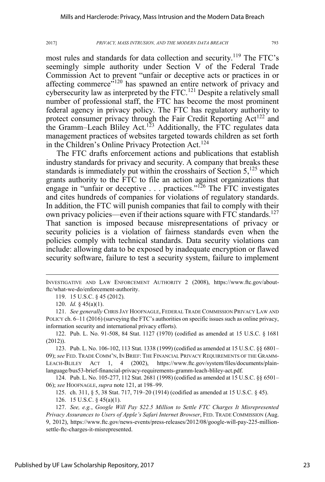most rules and standards for data collection and security.<sup>119</sup> The FTC's seemingly simple authority under Section V of the Federal Trade Commission Act to prevent "unfair or deceptive acts or practices in or affecting commerce<sup>"120</sup> has spawned an entire network of privacy and cybersecurity law as interpreted by the FTC.<sup>121</sup> Despite a relatively small number of professional staff, the FTC has become the most prominent federal agency in privacy policy. The FTC has regulatory authority to protect consumer privacy through the Fair Credit Reporting Act<sup>122</sup> and the Gramm–Leach Bliley Act.<sup>123</sup> Additionally, the FTC regulates data management practices of websites targeted towards children as set forth in the Children's Online Privacy Protection Act. 124

The FTC drafts enforcement actions and publications that establish industry standards for privacy and security. A company that breaks these standards is immediately put within the crosshairs of Section  $5<sup>125</sup>$  which grants authority to the FTC to file an action against organizations that engage in "unfair or deceptive . . . practices."<sup>126</sup> The FTC investigates and cites hundreds of companies for violations of regulatory standards. In addition, the FTC will punish companies that fail to comply with their own privacy policies—even if their actions square with FTC standards.<sup>127</sup> That sanction is imposed because misrepresentations of privacy or security policies is a violation of fairness standards even when the policies comply with technical standards. Data security violations can include: allowing data to be exposed by inadequate encryption or flawed security software, failure to test a security system, failure to implement

 $\overline{a}$ 

124. Pub. L. No. 105-277, 112 Stat. 2681 (1998) (codified as amended at 15 U.S.C. §§ 6501– 06); *see* HOOFNAGLE, *supra* note 121, at 198–99.

125. ch. 311, § 5, 38 Stat. 717, 719–20 (1914) (codified as amended at 15 U.S.C. § 45).

INVESTIGATIVE AND LAW ENFORCEMENT AUTHORITY 2 (2008), https://www.ftc.gov/aboutftc/what-we-do/enforcement-authority.

<sup>119. 15</sup> U.S.C. § 45 (2012).

<sup>120.</sup> *Id.* § 45(a)(1).

<sup>121.</sup> *See generally* CHRIS JAY HOOFNAGLE, FEDERAL TRADE COMMISSION PRIVACY LAW AND POLICY ch. 6–11 (2016) (surveying the FTC's authorities on specific issues such as online privacy, information security and international privacy efforts).

<sup>122.</sup> Pub. L. No. 91-508, 84 Stat. 1127 (1970) (codified as amended at 15 U.S.C. § 1681 (2012)).

<sup>123.</sup> Pub. L. No. 106-102, 113 Stat. 1338 (1999) (codified as amended at 15 U.S.C. §§ 6801– 09); *see* FED. TRADE COMM'N, IN BRIEF: THE FINANCIAL PRIVACY REQUIREMENTS OF THE GRAMM-LEACH-BLILEY ACT 1, 4 (2002), https://www.ftc.gov/system/files/documents/plainlanguage/bus53-brief-financial-privacy-requirements-gramm-leach-bliley-act.pdf.

<sup>126. 15</sup> U.S.C. § 45(a)(1).

<sup>127.</sup> *See, e.g.*, *Google Will Pay \$22.5 Million to Settle FTC Charges It Misrepresented Privacy Assurances to Users of Apple's Safari Internet Browser*, FED. TRADE COMMISSION (Aug. 9, 2012), https://www.ftc.gov/news-events/press-releases/2012/08/google-will-pay-225-millionsettle-ftc-charges-it-misrepresented.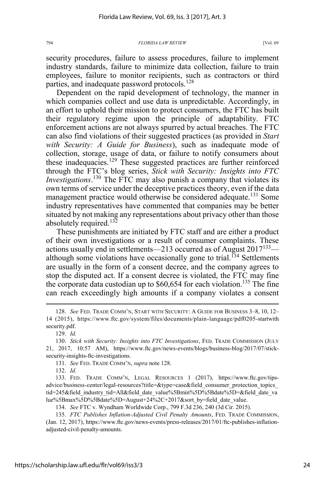security procedures, failure to assess procedures, failure to implement industry standards, failure to minimize data collection, failure to train employees, failure to monitor recipients, such as contractors or third parties, and inadequate password protocols.<sup>128</sup>

Dependent on the rapid development of technology, the manner in which companies collect and use data is unpredictable. Accordingly, in an effort to uphold their mission to protect consumers, the FTC has built their regulatory regime upon the principle of adaptability. FTC enforcement actions are not always spurred by actual breaches. The FTC can also find violations of their suggested practices (as provided in *Start with Security: A Guide for Business*), such as inadequate mode of collection, storage, usage of data, or failure to notify consumers about these inadequacies.<sup>129</sup> These suggested practices are further reinforced through the FTC's blog series, *Stick with Security: Insights into FTC Investigations*. <sup>130</sup> The FTC may also punish a company that violates its own terms of service under the deceptive practices theory, even if the data management practice would otherwise be considered adequate.<sup>131</sup> Some industry representatives have commented that companies may be better situated by not making any representations about privacy other than those absolutely required.<sup>132</sup>

These punishments are initiated by FTC staff and are either a product of their own investigations or a result of consumer complaints. These actions usually end in settlements—213 occurred as of August  $2017^{133}$  although some violations have occasionally gone to trial.<sup> $134$ </sup> Settlements are usually in the form of a consent decree, and the company agrees to stop the disputed act. If a consent decree is violated, the FTC may fine the corporate data custodian up to \$60,654 for each violation.<sup>135</sup> The fine can reach exceedingly high amounts if a company violates a consent

129. *Id.*

131. *See* FED. TRADE COMM'N, *supra* note 128.

132. *Id.*

133. FED. TRADE COMM'N, LEGAL RESOURCES 1 (2017), https://www.ftc.gov/tipsadvice/business-center/legal-resources?title=&type=case&field\_consumer\_protection\_topics\_ tid=245&field\_industry\_tid=All&field\_date\_value%5Bmin%5D%5Bdate%5D=&field\_date\_va lue%5Bmax%5D%5Bdate%5D=August+24%2C+2017&sort\_by=field\_date\_value.

134. *See* FTC v. Wyndham Worldwide Corp., 799 F.3d 236, 240 (3d Cir. 2015).

135. *FTC Publishes Inflation-Adjusted Civil Penalty Amounts*, FED. TRADE COMMISSION, (Jan. 12, 2017), https://www.ftc.gov/news-events/press-releases/2017/01/ftc-publishes-inflationadjusted-civil-penalty-amounts.

 <sup>128.</sup> *See* FED. TRADE COMM'N, START WITH SECURITY:AGUIDE FOR BUSINESS <sup>3</sup>–8, 10, 12– 14 (2015), https://www.ftc.gov/system/files/documents/plain-language/pdf0205-startwith security.pdf.

<sup>130.</sup> *Stick with Security: Insights into FTC Investigations*, FED. TRADE COMMISSION (JULY 21, 2017, 10:57 AM), https://www.ftc.gov/news-events/blogs/business-blog/2017/07/sticksecurity-insights-ftc-investigations.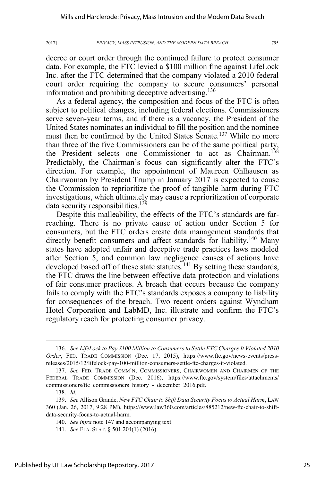decree or court order through the continued failure to protect consumer data. For example, the FTC levied a \$100 million fine against LifeLock Inc. after the FTC determined that the company violated a 2010 federal court order requiring the company to secure consumers' personal information and prohibiting deceptive advertising.<sup>136</sup>

As a federal agency, the composition and focus of the FTC is often subject to political changes, including federal elections. Commissioners serve seven-year terms, and if there is a vacancy, the President of the United States nominates an individual to fill the position and the nominee must then be confirmed by the United States Senate.<sup>137</sup> While no more than three of the five Commissioners can be of the same political party, the President selects one Commissioner to act as Chairman.<sup>138</sup> Predictably, the Chairman's focus can significantly alter the FTC's direction. For example, the appointment of Maureen Ohlhausen as Chairwoman by President Trump in January 2017 is expected to cause the Commission to reprioritize the proof of tangible harm during FTC investigations, which ultimately may cause a reprioritization of corporate data security responsibilities.<sup>139</sup>

Despite this malleability, the effects of the FTC's standards are farreaching. There is no private cause of action under Section 5 for consumers, but the FTC orders create data management standards that directly benefit consumers and affect standards for liability.<sup>140</sup> Many states have adopted unfair and deceptive trade practices laws modeled after Section 5, and common law negligence causes of actions have developed based off of these state statutes.<sup>141</sup> By setting these standards, the FTC draws the line between effective data protection and violations of fair consumer practices. A breach that occurs because the company fails to comply with the FTC's standards exposes a company to liability for consequences of the breach. Two recent orders against Wyndham Hotel Corporation and LabMD, Inc. illustrate and confirm the FTC's regulatory reach for protecting consumer privacy.

 <sup>136.</sup> *See LifeLock to Pay \$100 Million to Consumers to Settle FTC Charges It Violated 2010 Order*, FED. TRADE COMMISSION (Dec. 17, 2015), https://www.ftc.gov/news-events/pressreleases/2015/12/lifelock-pay-100-million-consumers-settle-ftc-charges-it-violated.

<sup>137.</sup> *See* FED. TRADE COMM'N, COMMISSIONERS, CHAIRWOMEN AND CHAIRMEN OF THE FEDERAL TRADE COMMISSION (Dec. 2016), https://www.ftc.gov/system/files/attachments/ commissioners/ftc\_commissioners\_history\_-\_december\_2016.pdf.

<sup>138.</sup> *Id.*

<sup>139.</sup> *See* Allison Grande, *New FTC Chair to Shift Data Security Focus to Actual Harm*, LAW 360 (Jan. 26, 2017, 9:28 PM), https://www.law360.com/articles/885212/new-ftc-chair-to-shiftdata-security-focus-to-actual-harm.

<sup>140.</sup> *See infra* note 147 and accompanying text.

<sup>141.</sup> *See* FLA. STAT. § 501.204(1) (2016).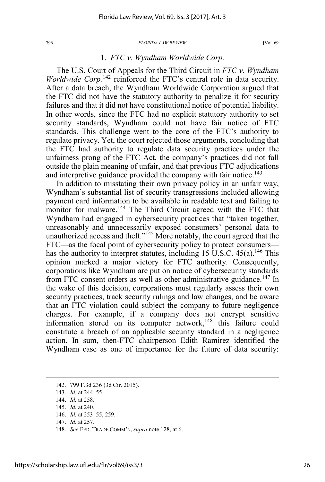### 1. *FTC v. Wyndham Worldwide Corp.*

The U.S. Court of Appeals for the Third Circuit in *FTC v. Wyndham Worldwide Corp.*<sup>142</sup> reinforced the FTC's central role in data security. After a data breach, the Wyndham Worldwide Corporation argued that the FTC did not have the statutory authority to penalize it for security failures and that it did not have constitutional notice of potential liability. In other words, since the FTC had no explicit statutory authority to set security standards, Wyndham could not have fair notice of FTC standards. This challenge went to the core of the FTC's authority to regulate privacy. Yet, the court rejected those arguments, concluding that the FTC had authority to regulate data security practices under the unfairness prong of the FTC Act, the company's practices did not fall outside the plain meaning of unfair, and that previous FTC adjudications and interpretive guidance provided the company with fair notice.<sup>143</sup>

In addition to misstating their own privacy policy in an unfair way, Wyndham's substantial list of security transgressions included allowing payment card information to be available in readable text and failing to monitor for malware.<sup>144</sup> The Third Circuit agreed with the FTC that Wyndham had engaged in cybersecurity practices that "taken together, unreasonably and unnecessarily exposed consumers' personal data to unauthorized access and theft." $145$  More notably, the court agreed that the FTC—as the focal point of cybersecurity policy to protect consumers has the authority to interpret statutes, including 15 U.S.C.  $45(a)$ .<sup>146</sup> This opinion marked a major victory for FTC authority. Consequently, corporations like Wyndham are put on notice of cybersecurity standards from FTC consent orders as well as other administrative guidance.<sup>147</sup> In the wake of this decision, corporations must regularly assess their own security practices, track security rulings and law changes, and be aware that an FTC violation could subject the company to future negligence charges. For example, if a company does not encrypt sensitive information stored on its computer network,<sup>148</sup> this failure could constitute a breach of an applicable security standard in a negligence action. In sum, then-FTC chairperson Edith Ramirez identified the Wyndham case as one of importance for the future of data security:

 <sup>142. 799</sup> F.3d 236 (3d Cir. 2015).

<sup>143.</sup> *Id.* at 244–55.

<sup>144.</sup> *Id.* at 258.

<sup>145.</sup> *Id.* at 240.

<sup>146.</sup> *Id.* at 253–55, 259.

<sup>147.</sup> *Id.* at 257.

<sup>148.</sup> *See* FED. TRADE COMM'N, *supra* note 128, at 6.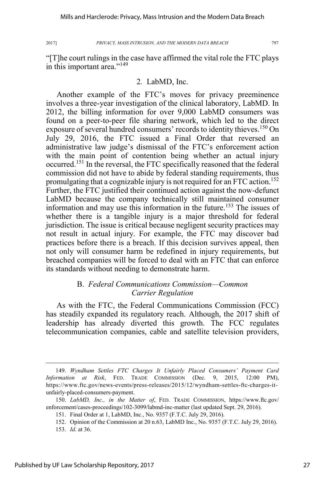"[T]he court rulings in the case have affirmed the vital role the FTC plays in this important area."<sup>149</sup>

# 2*.* LabMD, Inc.

Another example of the FTC's moves for privacy preeminence involves a three-year investigation of the clinical laboratory, LabMD. In 2012, the billing information for over 9,000 LabMD consumers was found on a peer-to-peer file sharing network, which led to the direct exposure of several hundred consumers' records to identity thieves.<sup>150</sup> On July 29, 2016, the FTC issued a Final Order that reversed an administrative law judge's dismissal of the FTC's enforcement action with the main point of contention being whether an actual injury occurred.<sup>151</sup> In the reversal, the FTC specifically reasoned that the federal commission did not have to abide by federal standing requirements, thus promulgating that a cognizable injury is not required for an FTC action.<sup>152</sup> Further, the FTC justified their continued action against the now-defunct LabMD because the company technically still maintained consumer information and may use this information in the future.<sup>153</sup> The issues of whether there is a tangible injury is a major threshold for federal jurisdiction. The issue is critical because negligent security practices may not result in actual injury. For example, the FTC may discover bad practices before there is a breach. If this decision survives appeal, then not only will consumer harm be redefined in injury requirements, but breached companies will be forced to deal with an FTC that can enforce its standards without needing to demonstrate harm.

# B. *Federal Communications Commission—Common Carrier Regulation*

As with the FTC, the Federal Communications Commission (FCC) has steadily expanded its regulatory reach. Although, the 2017 shift of leadership has already diverted this growth. The FCC regulates telecommunication companies, cable and satellite television providers,

 <sup>149.</sup> *Wyndham Settles FTC Charges It Unfairly Placed Consumers' Payment Card Information at Risk*, FED. TRADE COMMISSION (Dec. 9, 2015, 12:00 PM), https://www.ftc.gov/news-events/press-releases/2015/12/wyndham-settles-ftc-charges-itunfairly-placed-consumers-payment.

<sup>150.</sup> *LabMD, Inc., in the Matter of*, FED. TRADE COMMISSION, https://www.ftc.gov/ enforcement/cases-proceedings/102-3099/labmd-inc-matter (last updated Sept. 29, 2016).

<sup>151.</sup> Final Order at 1, LabMD, Inc*.*, No. 9357 (F.T.C. July 29, 2016).

<sup>152.</sup> Opinion of the Commission at 20 n.63, LabMD Inc., No. 9357 (F.T.C. July 29, 2016).

<sup>153.</sup> *Id.* at 36.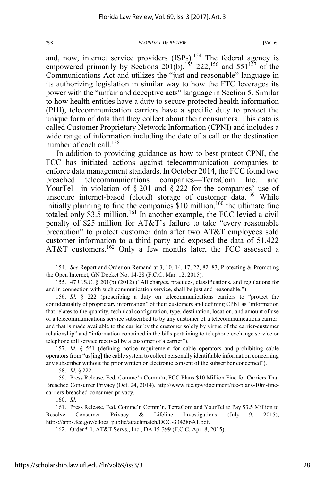and, now, internet service providers  $(ISPs)$ .<sup>154</sup> The federal agency is empowered primarily by Sections  $201(b)$ ,<sup>155</sup> 222,<sup>156</sup> and 551<sup>157</sup> of the Communications Act and utilizes the "just and reasonable" language in its authorizing legislation in similar way to how the FTC leverages its power with the "unfair and deceptive acts" language in Section 5. Similar to how health entities have a duty to secure protected health information (PHI), telecommunication carriers have a specific duty to protect the unique form of data that they collect about their consumers. This data is called Customer Proprietary Network Information (CPNI) and includes a wide range of information including the date of a call or the destination number of each call.<sup>158</sup>

In addition to providing guidance as how to best protect CPNI, the FCC has initiated actions against telecommunication companies to enforce data management standards. In October 2014, the FCC found two breached telecommunications companies—TerraCom Inc. and YourTel—in violation of § 201 and § 222 for the companies' use of unsecure internet-based (cloud) storage of customer data.<sup>159</sup> While initially planning to fine the companies  $$10$  million,<sup>160</sup> the ultimate fine totaled only \$3.5 million.<sup>161</sup> In another example, the FCC levied a civil penalty of \$25 million for AT&T's failure to take "every reasonable precaution" to protect customer data after two AT&T employees sold customer information to a third party and exposed the data of 51,422 AT&T customers.<sup>162</sup> Only a few months later, the FCC assessed a

 154. *See* Report and Order on Remand at 3, 10, 14, 17, 22, 82–83, Protecting & Promoting the Open Internet, GN Docket No. 14-28 (F.C.C. Mar. 12, 2015).

155. 47 U.S.C. § 201(b) (2012) ("All charges, practices, classifications, and regulations for and in connection with such communication service, shall be just and reasonable.").

156. *Id.* § 222 (proscribing a duty on telecommunications carriers to "protect the confidentiality of proprietary information" of their customers and defining CPNI as "information that relates to the quantity, technical configuration, type, destination, location, and amount of use of a telecommunications service subscribed to by any customer of a telecommunications carrier, and that is made available to the carrier by the customer solely by virtue of the carrier-customer relationship" and "information contained in the bills pertaining to telephone exchange service or telephone toll service received by a customer of a carrier").

157. *Id*. § 551 (defining notice requirement for cable operators and prohibiting cable operators from "us[ing] the cable system to collect personally identifiable information concerning any subscriber without the prior written or electronic consent of the subscriber concerned").

158. *Id.* § 222.

159. Press Release, Fed. Commc'n Comm'n, FCC Plans \$10 Million Fine for Carriers That Breached Consumer Privacy (Oct. 24, 2014), http://www.fcc.gov/document/fcc-plans-10m-finecarriers-breached-consumer-privacy.

160. *Id.*

161. Press Release, Fed. Commc'n Comm'n, TerraCom and YourTel to Pay \$3.5 Million to Resolve Consumer Privacy & Lifeline Investigations (July 9, 2015), https://apps.fcc.gov/edocs\_public/attachmatch/DOC-334286A1.pdf.

162. Order ¶ 1, AT&T Servs., Inc., DA 15-399 (F.C.C. Apr. 8, 2015).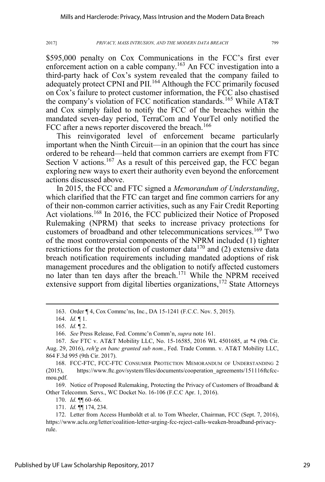\$595,000 penalty on Cox Communications in the FCC's first ever enforcement action on a cable company.<sup>163</sup> An FCC investigation into a third-party hack of Cox's system revealed that the company failed to adequately protect CPNI and PII.<sup>164</sup> Although the FCC primarily focused on Cox's failure to protect customer information, the FCC also chastised the company's violation of FCC notification standards.<sup>165</sup> While AT&T and Cox simply failed to notify the FCC of the breaches within the mandated seven-day period, TerraCom and YourTel only notified the FCC after a news reporter discovered the breach.<sup>166</sup>

This reinvigorated level of enforcement became particularly important when the Ninth Circuit—in an opinion that the court has since ordered to be reheard—held that common carriers are exempt from FTC Section V actions.<sup>167</sup> As a result of this perceived gap, the FCC began exploring new ways to exert their authority even beyond the enforcement actions discussed above.

In 2015, the FCC and FTC signed a *Memorandum of Understanding*, which clarified that the FTC can target and fine common carriers for any of their non-common carrier activities, such as any Fair Credit Reporting Act violations.<sup>168</sup> In 2016, the FCC publicized their Notice of Proposed Rulemaking (NPRM) that seeks to increase privacy protections for customers of broadband and other telecommunications services.<sup>169</sup> Two of the most controversial components of the NPRM included (1) tighter restrictions for the protection of customer data<sup>170</sup> and (2) extensive data breach notification requirements including mandated adoptions of risk management procedures and the obligation to notify affected customers no later than ten days after the breach.<sup>171</sup> While the NPRM received extensive support from digital liberties organizations, $172$  State Attorneys

165. *Id.* ¶ 2.

166. *See* Press Release, Fed. Commc'n Comm'n, *supra* note 161.

168. FCC-FTC, FCC-FTC CONSUMER PROTECTION MEMORANDUM OF UNDERSTANDING 2 (2015), https://www.ftc.gov/system/files/documents/cooperation\_agreements/151116ftcfccmou.pdf.

169. Notice of Proposed Rulemaking, Protecting the Privacy of Customers of Broadband & Other Telecomm. Servs., WC Docket No. 16-106 (F.C.C Apr. 1, 2016).

170. *Id.* ¶¶ 60–66.

171. *Id.* ¶¶ 174, 234.

172. Letter from Access Humboldt et al. to Tom Wheeler, Chairman, FCC (Sept. 7, 2016), https://www.aclu.org/letter/coalition-letter-urging-fcc-reject-calls-weaken-broadband-privacyrule.

 <sup>163.</sup> Order ¶ 4, Cox Commc'ns, Inc., DA 15-1241 (F.C.C. Nov. 5, 2015).

<sup>164.</sup> *Id.* ¶ 1.

<sup>167.</sup> *See* FTC v. AT&T Mobility LLC, No. 15-16585, 2016 WL 4501685, at \*4 (9th Cir. Aug. 29, 2016), *reh'g en banc granted sub nom.*, Fed. Trade Commn. v. AT&T Mobility LLC, 864 F.3d 995 (9th Cir. 2017).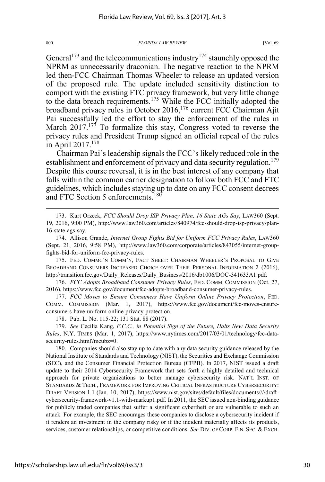General<sup>173</sup> and the telecommunications industry<sup>174</sup> staunchly opposed the NPRM as unnecessarily draconian. The negative reaction to the NPRM led then-FCC Chairman Thomas Wheeler to release an updated version of the proposed rule. The update included sensitivity distinction to comport with the existing FTC privacy framework, but very little change to the data breach requirements.<sup>175</sup> While the FCC initially adopted the broadband privacy rules in October 2016,<sup>176</sup> current FCC Chairman Ajit Pai successfully led the effort to stay the enforcement of the rules in March  $2017$ .<sup>177</sup> To formalize this stay, Congress voted to reverse the privacy rules and President Trump signed an official repeal of the rules in April  $2017.<sup>178</sup>$ 

Chairman Pai's leadership signals the FCC's likely reduced role in the establishment and enforcement of privacy and data security regulation.<sup>179</sup> Despite this course reversal, it is in the best interest of any company that falls within the common carrier designation to follow both FCC and FTC guidelines, which includes staying up to date on any FCC consent decrees and FTC Section 5 enforcements.<sup>180</sup>

 173. Kurt Orzeck, *FCC Should Drop ISP Privacy Plan, 16 State AGs Say*, LAW360 (Sept. 19, 2016, 9:00 PM), http://www.law360.com/articles/840974/fcc-should-drop-isp-privacy-plan-16-state-ags-say*.*

174. Allison Grande, *Internet Group Fights Bid for Uniform FCC Privacy Rules*, LAW360 (Sept. 21, 2016, 9:58 PM), http://www.law360.com/corporate/articles/843055/internet-groupfights-bid-for-uniform-fcc-privacy-rules.

175. FED. COMMC'N COMM'N, FACT SHEET: CHAIRMAN WHEELER'S PROPOSAL TO GIVE BROADBAND CONSUMERS INCREASED CHOICE OVER THEIR PERSONAL INFORMATION 2 (2016), http://transition.fcc.gov/Daily\_Releases/Daily\_Business/2016/db1006/DOC-341633A1.pdf.

176. *FCC Adopts Broadband Consumer Privacy Rules*, FED. COMM. COMMISSION (Oct. 27, 2016), https://www.fcc.gov/document/fcc-adopts-broadband-consumer-privacy-rules.

177. *FCC Moves to Ensure Consumers Have Uniform Online Privacy Protection*, FED. COMM. COMMISSION (Mar. 1, 2017), https://www.fcc.gov/document/fcc-moves-ensureconsumers-have-uniform-online-privacy-protection.

178. Pub. L. No. 115-22; 131 Stat. 88 (2017).

179. *See* Cecilia Kang, *F.C.C., in Potential Sign of the Future, Halts New Data Security Rules*, N.Y. TIMES (Mar. 1, 2017), https://www.nytimes.com/2017/03/01/technology/fcc-datasecurity-rules.html?mcubz=0.

180. Companies should also stay up to date with any data security guidance released by the National Institute of Standards and Technology (NIST), the Securities and Exchange Commission (SEC), and the Consumer Financial Protection Bureau (CFPB). In 2017, NIST issued a draft update to their 2014 Cybersecurity Framework that sets forth a highly detailed and technical approach for private organizations to better manage cybersecurity risk. NAT'L INST. OF STANDARDS & TECH., FRAMEWORK FOR IMPROVING CRITICAL INFRASTRUCTURE CYBERSECURITY: DRAFT VERSION 1.1 (Jan. 10, 2017), https://www.nist.gov/sites/default/files/documents////draftcybersecurity-framework-v1.1-with-markup1.pdf. In 2011, the SEC issued non-binding guidance for publicly traded companies that suffer a significant cybertheft or are vulnerable to such an attack. For example, the SEC encourages these companies to disclose a cybersecurity incident if it renders an investment in the company risky or if the incident materially affects its products, services, customer relationships, or competitive conditions. See DIV. OF CORP. FIN. SEC. & EXCH.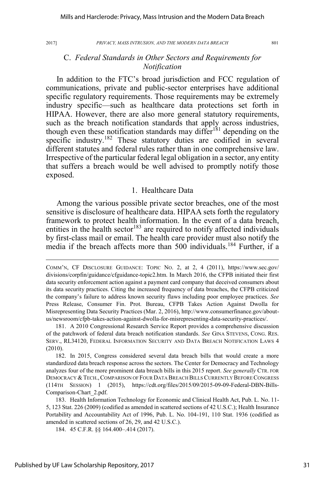$\overline{a}$ 

### 2017] *PRIVACY, MASS INTRUSION, AND THE MODERN DATA BREACH* 801

# C. *Federal Standards in Other Sectors and Requirements for Notification*

In addition to the FTC's broad jurisdiction and FCC regulation of communications, private and public-sector enterprises have additional specific regulatory requirements. Those requirements may be extremely industry specific—such as healthcare data protections set forth in HIPAA. However, there are also more general statutory requirements, such as the breach notification standards that apply across industries, though even these notification standards may differ<sup>181</sup> depending on the specific industry.<sup>182</sup> These statutory duties are codified in several different statutes and federal rules rather than in one comprehensive law. Irrespective of the particular federal legal obligation in a sector, any entity that suffers a breach would be well advised to promptly notify those exposed.

### 1. Healthcare Data

Among the various possible private sector breaches, one of the most sensitive is disclosure of healthcare data. HIPAA sets forth the regulatory framework to protect health information. In the event of a data breach, entities in the health sector<sup>183</sup> are required to notify affected individuals by first-class mail or email. The health care provider must also notify the media if the breach affects more than 500 individuals.<sup>184</sup> Further, if a

182. In 2015, Congress considered several data breach bills that would create a more standardized data breach response across the sectors. The Center for Democracy and Technology analyzes four of the more prominent data breach bills in this 2015 report. *See generally* CTR. FOR DEMOCRACY & TECH., COMPARISON OF FOUR DATA BREACH BILLS CURRENTLY BEFORE CONGRESS (114TH SESSION) 1 (2015), https://cdt.org/files/2015/09/2015-09-09-Federal-DBN-Bills-Comparison-Chart\_2.pdf.

COMM'N, CF DISCLOSURE GUIDANCE: TOPIC NO. 2, at 2, 4 (2011), https://www.sec.gov/ divisions/corpfin/guidance/cfguidance-topic2.htm. In March 2016, the CFPB initiated their first data security enforcement action against a payment card company that deceived consumers about its data security practices. Citing the increased frequency of data breaches, the CFPB criticized the company's failure to address known security flaws including poor employee practices. *See*  Press Release, Consumer Fin. Prot. Bureau, CFPB Takes Action Against Dwolla for Misrepresenting Data Security Practices (Mar. 2, 2016), http://www.consumerfinance.gov/aboutus/newsroom/cfpb-takes-action-against-dwolla-for-misrepresenting-data-security-practices/.

<sup>181.</sup> A 2010 Congressional Research Service Report provides a comprehensive discussion of the patchwork of federal data breach notification standards. *See* GINA STEVENS, CONG. RES. SERV., RL34120, FEDERAL INFORMATION SECURITY AND DATA BREACH NOTIFICATION LAWS 4 (2010).

<sup>183.</sup> Health Information Technology for Economic and Clinical Health Act, Pub. L. No. 11- 5, 123 Stat. 226 (2009) (codified as amended in scattered sections of 42 U.S.C.); Health Insurance Portability and Accountability Act of 1996, Pub. L. No. 104-191, 110 Stat. 1936 (codified as amended in scattered sections of 26, 29, and 42 U.S.C.).

<sup>184. 45</sup> C.F.R. §§ 164.400–.414 (2017).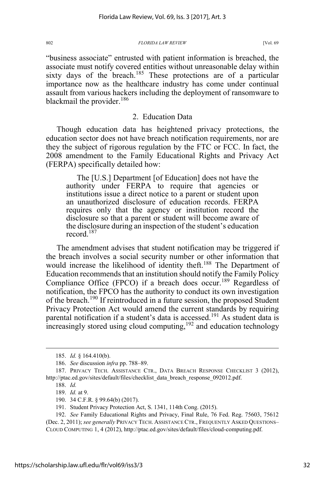"business associate" entrusted with patient information is breached, the associate must notify covered entities without unreasonable delay within sixty days of the breach.<sup>185</sup> These protections are of a particular importance now as the healthcare industry has come under continual assault from various hackers including the deployment of ransomware to blackmail the provider.<sup>186</sup>

# 2. Education Data

Though education data has heightened privacy protections, the education sector does not have breach notification requirements, nor are they the subject of rigorous regulation by the FTC or FCC. In fact, the 2008 amendment to the Family Educational Rights and Privacy Act (FERPA) specifically detailed how:

The [U.S.] Department [of Education] does not have the authority under FERPA to require that agencies or institutions issue a direct notice to a parent or student upon an unauthorized disclosure of education records. FERPA requires only that the agency or institution record the disclosure so that a parent or student will become aware of the disclosure during an inspection of the student's education record<sup>187</sup>

The amendment advises that student notification may be triggered if the breach involves a social security number or other information that would increase the likelihood of identity theft.<sup>188</sup> The Department of Education recommends that an institution should notify the Family Policy Compliance Office (FPCO) if a breach does occur.<sup>189</sup> Regardless of notification, the FPCO has the authority to conduct its own investigation of the breach.<sup>190</sup> If reintroduced in a future session, the proposed Student Privacy Protection Act would amend the current standards by requiring parental notification if a student's data is accessed.<sup>191</sup> As student data is  $\frac{1}{2}$  increasingly stored using cloud computing,<sup>192</sup> and education technology

 <sup>185.</sup> *Id.* § 164.410(b).

<sup>186.</sup> *See* discussion *infra* pp. 788–89.

<sup>187.</sup> PRIVACY TECH. ASSISTANCE CTR., DATA BREACH RESPONSE CHECKLIST 3 (2012), http://ptac.ed.gov/sites/default/files/checklist\_data\_breach\_response\_092012.pdf.

<sup>188.</sup> *Id.*

<sup>189.</sup> *Id.* at 9.

<sup>190. 34</sup> C.F.R. § 99.64(b) (2017).

<sup>191.</sup> Student Privacy Protection Act, S. 1341, 114th Cong. (2015).

<sup>192.</sup> *See* Family Educational Rights and Privacy, Final Rule, 76 Fed. Reg. 75603, 75612 (Dec. 2, 2011); *see generally* PRIVACY TECH. ASSISTANCE CTR., FREQUENTLY ASKED QUESTIONS– CLOUD COMPUTING 1, 4 (2012), http://ptac.ed.gov/sites/default/files/cloud-computing.pdf.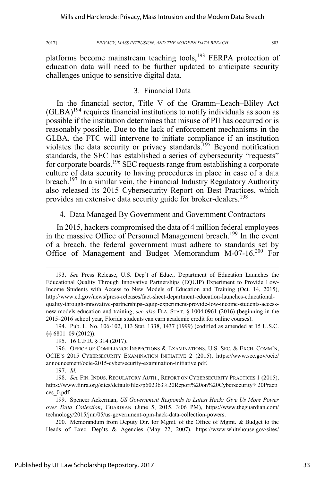platforms become mainstream teaching tools,<sup>193</sup> FERPA protection of education data will need to be further updated to anticipate security challenges unique to sensitive digital data.

# 3. Financial Data

In the financial sector, Title V of the Gramm–Leach–Bliley Act  $(GLBA)^{194}$  requires financial institutions to notify individuals as soon as possible if the institution determines that misuse of PII has occurred or is reasonably possible. Due to the lack of enforcement mechanisms in the GLBA, the FTC will intervene to initiate compliance if an institution violates the data security or privacy standards.<sup>195</sup> Beyond notification standards, the SEC has established a series of cybersecurity "requests" for corporate boards.<sup>196</sup> SEC requests range from establishing a corporate culture of data security to having procedures in place in case of a data breach.<sup>197</sup> In a similar vein, the Financial Industry Regulatory Authority also released its 2015 Cybersecurity Report on Best Practices, which provides an extensive data security guide for broker-dealers.<sup>198</sup>

4. Data Managed By Government and Government Contractors

In 2015, hackers compromised the data of 4 million federal employees in the massive Office of Personnel Management breach.<sup>199</sup> In the event of a breach, the federal government must adhere to standards set by Office of Management and Budget Memorandum M-07-16.200 For

 <sup>193.</sup> *See* Press Release, U.S. Dep't of Educ., Department of Education Launches the Educational Quality Through Innovative Partnerships (EQUIP) Experiment to Provide Low-Income Students with Access to New Models of Education and Training (Oct. 14, 2015), http://www.ed.gov/news/press-releases/fact-sheet-department-education-launches-educationalquality-through-innovative-partnerships-equip-experiment-provide-low-income-students-accessnew-models-education-and-training; *see also* FLA. STAT. § 1004.0961 (2016) (beginning in the 2015–2016 school year, Florida students can earn academic credit for online courses).

<sup>194.</sup> Pub. L. No. 106-102, 113 Stat. 1338, 1437 (1999) (codified as amended at 15 U.S.C. §§ 6801–09 (2012)).

<sup>195. 16</sup> C.F.R. § 314 (2017).

<sup>196.</sup> OFFICE OF COMPLIANCE INSPECTIONS  $\&$  EXAMINATIONS, U.S. Sec.  $\&$  Exch. COMM'N, OCIE'S 2015 CYBERSECURITY EXAMINATION INITIATIVE 2 (2015), https://www.sec.gov/ocie/ announcement/ocie-2015-cybersecurity-examination-initiative.pdf.

<sup>197.</sup> *Id.* 

<sup>198.</sup> *See* FIN. INDUS. REGULATORY AUTH., REPORT ON CYBERSECURITY PRACTICES 1 (2015), https://www.finra.org/sites/default/files/p602363%20Report%20on%20Cybersecurity%20Practi ces\_0.pdf.

<sup>199.</sup> Spencer Ackerman, *US Government Responds to Latest Hack: Give Us More Power over Data Collection*, GUARDIAN (June 5, 2015, 3:06 PM), https://www.theguardian.com/ technology/2015/jun/05/us-government-opm-hack-data-collection-powers.

<sup>200.</sup> Memorandum from Deputy Dir. for Mgmt. of the Office of Mgmt. & Budget to the Heads of Exec. Dep'ts & Agencies (May 22, 2007), https://www.whitehouse.gov/sites/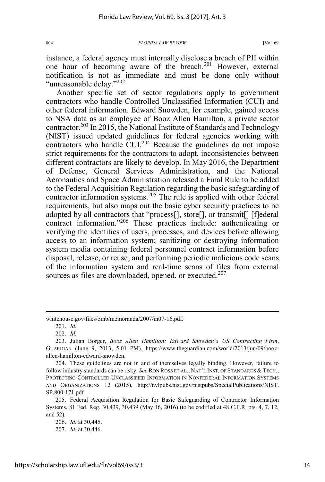instance, a federal agency must internally disclose a breach of PII within one hour of becoming aware of the breach.<sup>201</sup> However, external notification is not as immediate and must be done only without "unreasonable delay."<sup>202</sup>

Another specific set of sector regulations apply to government contractors who handle Controlled Unclassified Information (CUI) and other federal information. Edward Snowden, for example, gained access to NSA data as an employee of Booz Allen Hamilton, a private sector contractor.<sup>203</sup> In 2015, the National Institute of Standards and Technology (NIST) issued updated guidelines for federal agencies working with contractors who handle CUI.<sup>204</sup> Because the guidelines do not impose strict requirements for the contractors to adopt, inconsistencies between different contractors are likely to develop. In May 2016, the Department of Defense, General Services Administration, and the National Aeronautics and Space Administration released a Final Rule to be added to the Federal Acquisition Regulation regarding the basic safeguarding of contractor information systems.<sup>205</sup> The rule is applied with other federal requirements, but also maps out the basic cyber security practices to be adopted by all contractors that "process[], store[], or transmit[] [f]ederal contract information."<sup>206</sup> These practices include: authenticating or verifying the identities of users, processes, and devices before allowing access to an information system; sanitizing or destroying information system media containing federal personnel contract information before disposal, release, or reuse; and performing periodic malicious code scans of the information system and real-time scans of files from external sources as files are downloaded, opened, or executed.<sup>207</sup>

 $\overline{a}$ 

whitehouse.gov/files/omb/memoranda/2007/m07-16.pdf.

<sup>201.</sup> *Id.*

<sup>202.</sup> *Id.*

<sup>203.</sup> Julian Borger, *Booz Allen Hamilton: Edward Snowden's US Contracting Firm*, GUARDIAN (June 9, 2013, 5:01 PM), https://www.theguardian.com/world/2013/jun/09/boozallen-hamilton-edward-snowden.

<sup>204.</sup> These guidelines are not in and of themselves legally binding. However, failure to follow industry standards can be risky. *See* RON ROSS ET AL., NAT'L INST. OF STANDARDS & TECH., PROTECTING CONTROLLED UNCLASSIFIED INFORMATION IN NONFEDERAL INFORMATION SYSTEMS AND ORGANIZATIONS 12 (2015), http://nvlpubs.nist.gov/nistpubs/SpecialPublications/NIST. SP.800-171.pdf.

<sup>205.</sup> Federal Acquisition Regulation for Basic Safeguarding of Contractor Information Systems, 81 Fed. Reg. 30,439, 30,439 (May 16, 2016) (to be codified at 48 C.F.R. pts. 4, 7, 12, and 52).

<sup>206.</sup> *Id.* at 30,445.

<sup>207.</sup> *Id.* at 30,446.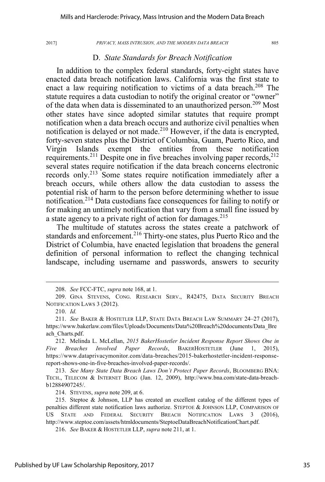# D. *State Standards for Breach Notification*

In addition to the complex federal standards, forty-eight states have enacted data breach notification laws. California was the first state to enact a law requiring notification to victims of a data breach.<sup>208</sup> The statute requires a data custodian to notify the original creator or "owner" of the data when data is disseminated to an unauthorized person.<sup>209</sup> Most other states have since adopted similar statutes that require prompt notification when a data breach occurs and authorize civil penalties when notification is delayed or not made.<sup>210</sup> However, if the data is encrypted, forty-seven states plus the District of Columbia, Guam, Puerto Rico, and Virgin Islands exempt the entities from these notification requirements.<sup>211</sup> Despite one in five breaches involving paper records,<sup>212</sup> several states require notification if the data breach concerns electronic records only.<sup>213</sup> Some states require notification immediately after a breach occurs, while others allow the data custodian to assess the potential risk of harm to the person before determining whether to issue notification.214 Data custodians face consequences for failing to notify or for making an untimely notification that vary from a small fine issued by a state agency to a private right of action for damages.<sup>215</sup>

The multitude of statutes across the states create a patchwork of standards and enforcement.<sup>216</sup> Thirty-one states, plus Puerto Rico and the District of Columbia, have enacted legislation that broadens the general definition of personal information to reflect the changing technical landscape, including username and passwords, answers to security

212. Melinda L. McLellan, *2015 BakerHostetler Incident Response Report Shows One in Five Breaches Involved Paper Records*, BAKERHOSTETLER (June 1, 2015), https://www.dataprivacymonitor.com/data-breaches/2015-bakerhostetler-incident-responsereport-shows-one-in-five-breaches-involved-paper-records/.

213. *See Many State Data Breach Laws Don't Protect Paper Records*, BLOOMBERG BNA: TECH., TELECOM & INTERNET BLOG (Jan. 12, 2009), http://www.bna.com/state-data-breachb12884907245/.

214. STEVENS, *supra* note 209, at 6.

216. *See* BAKER & HOSTETLER LLP, *supra* note 211, at 1.

 <sup>208.</sup> *See* FCC-FTC, *supra* note 168, at 1.

<sup>209.</sup> GINA STEVENS, CONG. RESEARCH SERV., R42475, DATA SECURITY BREACH NOTIFICATION LAWS 3 (2012).

<sup>210.</sup> *Id.*

<sup>211.</sup> *See* BAKER & HOSTETLER LLP, STATE DATA BREACH LAW SUMMARY 24–27 (2017), https://www.bakerlaw.com/files/Uploads/Documents/Data%20Breach%20documents/Data\_Bre ach\_Charts.pdf.

<sup>215.</sup> Steptoe & Johnson, LLP has created an excellent catalog of the different types of penalties different state notification laws authorize. STEPTOE & JOHNSON LLP, COMPARISON OF US STATE AND FEDERAL SECURITY BREACH NOTIFICATION LAWS 3 (2016), http://www.steptoe.com/assets/htmldocuments/SteptoeDataBreachNotificationChart.pdf.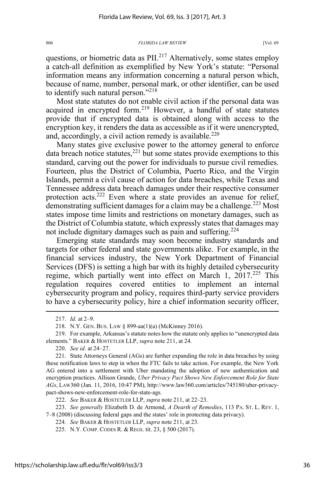questions, or biometric data as  $\text{PII}^{217}$  Alternatively, some states employ a catch-all definition as exemplified by New York's statute: "Personal information means any information concerning a natural person which, because of name, number, personal mark, or other identifier, can be used to identify such natural person."<sup>218</sup>

Most state statutes do not enable civil action if the personal data was acquired in encrypted form.<sup>219</sup> However, a handful of state statutes provide that if encrypted data is obtained along with access to the encryption key, it renders the data as accessible as if it were unencrypted, and, accordingly, a civil action remedy is available.<sup>220</sup>

Many states give exclusive power to the attorney general to enforce data breach notice statutes,  $221$  but some states provide exemptions to this standard, carving out the power for individuals to pursue civil remedies. Fourteen, plus the District of Columbia, Puerto Rico, and the Virgin Islands, permit a civil cause of action for data breaches, while Texas and Tennessee address data breach damages under their respective consumer protection acts.<sup>222</sup> Even where a state provides an avenue for relief, demonstrating sufficient damages for a claim may be a challenge.<sup>223</sup> Most states impose time limits and restrictions on monetary damages, such as the District of Columbia statute, which expressly states that damages may not include dignitary damages such as pain and suffering.<sup>224</sup>

Emerging state standards may soon become industry standards and targets for other federal and state governments alike. For example, in the financial services industry, the New York Department of Financial Services (DFS) is setting a high bar with its highly detailed cybersecurity regime, which partially went into effect on March 1, 2017.<sup>225</sup> This regulation requires covered entities to implement an internal cybersecurity program and policy, requires third-party service providers to have a cybersecurity policy, hire a chief information security officer,

220. *See id.* at 24–27.

221. State Attorneys General (AGs) are further expanding the role in data breaches by using these notification laws to step in when the FTC fails to take action. For example, the New York AG entered into a settlement with Uber mandating the adoption of new authentication and encryption practices. Allison Grande, *Uber Privacy Pact Shows New Enforcement Role for State AGs*, LAW360 (Jan. 11, 2016, 10:47 PM), http://www.law360.com/articles/745180/uber-privacypact-shows-new-enforcement-role-for-state-ags.

222. *See* BAKER & HOSTETLER LLP, *supra* note 211, at 22–23.

223. *See generally* Elizabeth D. de Armond, *A Dearth of Remedies*, 113 PA. ST. L. REV. 1, 7–8 (2008) (discussing federal gaps and the states' role in protecting data privacy).

 <sup>217.</sup> *Id.* at 2–9.

<sup>218.</sup> N.Y. GEN. BUS. LAW § 899-aa(1)(a) (McKinney 2016).

<sup>219.</sup> For example, Arkansas's statute notes how the statute only applies to "unencrypted data elements." BAKER & HOSTETLER LLP, *supra* note 211, at 24.

<sup>224.</sup> *See* BAKER & HOSTETLER LLP, *supra* note 211, at 23.

<sup>225.</sup> N.Y. COMP. CODES R. & REGS. tit. 23, § 500 (2017).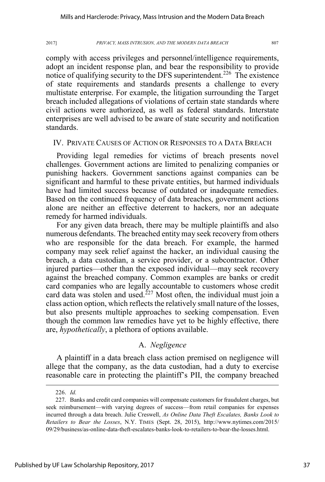comply with access privileges and personnel/intelligence requirements, adopt an incident response plan, and bear the responsibility to provide notice of qualifying security to the DFS superintendent.<sup>226</sup> The existence of state requirements and standards presents a challenge to every multistate enterprise. For example, the litigation surrounding the Target breach included allegations of violations of certain state standards where civil actions were authorized, as well as federal standards. Interstate enterprises are well advised to be aware of state security and notification standards.

### IV. PRIVATE CAUSES OF ACTION OR RESPONSES TO A DATA BREACH

Providing legal remedies for victims of breach presents novel challenges. Government actions are limited to penalizing companies or punishing hackers. Government sanctions against companies can be significant and harmful to these private entities, but harmed individuals have had limited success because of outdated or inadequate remedies. Based on the continued frequency of data breaches, government actions alone are neither an effective deterrent to hackers, nor an adequate remedy for harmed individuals.

For any given data breach, there may be multiple plaintiffs and also numerous defendants. The breached entity may seek recovery from others who are responsible for the data breach. For example, the harmed company may seek relief against the hacker, an individual causing the breach, a data custodian, a service provider, or a subcontractor. Other injured parties—other than the exposed individual—may seek recovery against the breached company. Common examples are banks or credit card companies who are legally accountable to customers whose credit card data was stolen and used.<sup>227</sup> Most often, the individual must join a class action option, which reflects the relatively small nature of the losses, but also presents multiple approaches to seeking compensation. Even though the common law remedies have yet to be highly effective, there are, *hypothetically*, a plethora of options available.

# A. *Negligence*

A plaintiff in a data breach class action premised on negligence will allege that the company, as the data custodian, had a duty to exercise reasonable care in protecting the plaintiff's PII, the company breached

 <sup>226.</sup> *Id.*

<sup>227.</sup> Banks and credit card companies will compensate customers for fraudulent charges, but seek reimbursement—with varying degrees of success—from retail companies for expenses incurred through a data breach. Julie Creswell, *As Online Data Theft Escalates, Banks Look to Retailers to Bear the Losses*, N.Y. TIMES (Sept. 28, 2015), http://www.nytimes.com/2015/ 09/29/business/as-online-data-theft-escalates-banks-look-to-retailers-to-bear-the-losses.html.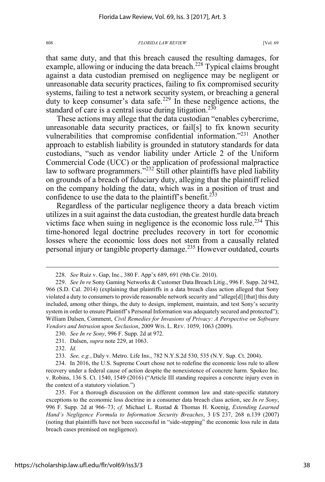that same duty, and that this breach caused the resulting damages, for example, allowing or inducing the data breach.<sup>228</sup> Typical claims brought against a data custodian premised on negligence may be negligent or unreasonable data security practices, failing to fix compromised security systems, failing to test a network security system, or breaching a general duty to keep consumer's data safe.<sup>229</sup> In these negligence actions, the standard of care is a central issue during litigation.<sup>230</sup>

These actions may allege that the data custodian "enables cybercrime, unreasonable data security practices, or fail[s] to fix known security vulnerabilities that compromise confidential information."<sup>231</sup> Another approach to establish liability is grounded in statutory standards for data custodians, "such as vendor liability under Article 2 of the Uniform Commercial Code (UCC) or the application of professional malpractice law to software programmers."<sup>232</sup> Still other plaintiffs have pled liability on grounds of a breach of fiduciary duty, alleging that the plaintiff relied on the company holding the data, which was in a position of trust and confidence to use the data to the plaintiff's benefit.<sup>233</sup>

Regardless of the particular negligence theory a data breach victim utilizes in a suit against the data custodian, the greatest hurdle data breach victims face when suing in negligence is the economic loss rule.<sup>234</sup> This time-honored legal doctrine precludes recovery in tort for economic losses where the economic loss does not stem from a causally related personal injury or tangible property damage.<sup>235</sup> However outdated, courts

233. *See, e.g.*, Daly v. Metro. Life Ins., 782 N.Y.S.2d 530, 535 (N.Y. Sup. Ct. 2004).

 <sup>228.</sup> *See* Ruiz v. Gap, Inc., 380 F. App'x 689, 691 (9th Cir. 2010).

<sup>229.</sup> *See In re* Sony Gaming Networks & Customer Data Breach Litig., 996 F. Supp. 2d 942, 966 (S.D. Cal. 2014) (explaining that plaintiffs in a data breach class action alleged that Sony violated a duty to consumers to provide reasonable network security and "allege[d] [that] this duty included, among other things, the duty to design, implement, maintain, and test Sony's security system in order to ensure Plaintiff's Personal Information was adequately secured and protected"); William Dalsen, Comment, *Civil Remedies for Invasions of Privacy: A Perspective on Software Vendors and Intrusion upon Seclusion*, 2009 WIS. L. REV. 1059, 1063 (2009).

<sup>230.</sup> *See In re Sony*, 996 F. Supp. 2d at 972.

<sup>231.</sup> Dalsen, *supra* note 229, at 1063.

<sup>232.</sup> *Id.*

<sup>234.</sup> In 2016, the U.S. Supreme Court chose not to redefine the economic loss rule to allow recovery under a federal cause of action despite the nonexistence of concrete harm. Spokeo Inc. v. Robins, 136 S. Ct. 1540, 1549 (2016) ("Article III standing requires a concrete injury even in the context of a statutory violation.")

<sup>235.</sup> For a thorough discussion on the different common law and state-specific statutory exceptions to the economic loss doctrine in a consumer data breach class action, see *In re Sony*, 996 F. Supp. 2d at 966–73; *cf.* Michael L. Rustad & Thomas H. Koenig, *Extending Learned Hand's Negligence Formula to Information Security Breaches*, 3 I/S 237, 268 n.139 (2007) (noting that plaintiffs have not been successful in "side-stepping" the economic loss rule in data breach cases premised on negligence).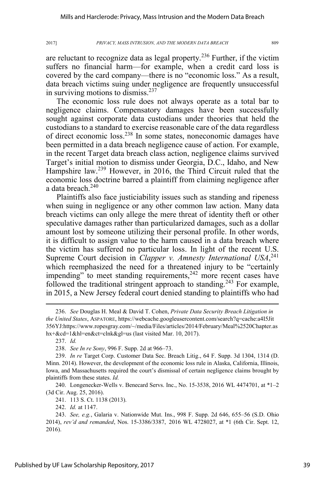are reluctant to recognize data as legal property.<sup>236</sup> Further, if the victim suffers no financial harm—for example, when a credit card loss is covered by the card company—there is no "economic loss." As a result, data breach victims suing under negligence are frequently unsuccessful in surviving motions to dismiss. $237$ 

The economic loss rule does not always operate as a total bar to negligence claims. Compensatory damages have been successfully sought against corporate data custodians under theories that held the custodians to a standard to exercise reasonable care of the data regardless of direct economic loss.238 In some states, noneconomic damages have been permitted in a data breach negligence cause of action. For example, in the recent Target data breach class action, negligence claims survived Target's initial motion to dismiss under Georgia, D.C., Idaho, and New Hampshire law.<sup>239</sup> However, in 2016, the Third Circuit ruled that the economic loss doctrine barred a plaintiff from claiming negligence after a data breach.<sup>240</sup>

Plaintiffs also face justiciability issues such as standing and ripeness when suing in negligence or any other common law action. Many data breach victims can only allege the mere threat of identity theft or other speculative damages rather than particularized damages, such as a dollar amount lost by someone utilizing their personal profile. In other words, it is difficult to assign value to the harm caused in a data breach where the victim has suffered no particular loss. In light of the recent U.S. Supreme Court decision in *Clapper v. Amnesty International USA*,<sup>241</sup> which reemphasized the need for a threatened injury to be "certainly impending" to meet standing requirements,<sup>242</sup> more recent cases have followed the traditional stringent approach to standing.<sup>243</sup> For example, in 2015, a New Jersey federal court denied standing to plaintiffs who had

 <sup>236.</sup> *See* Douglas H. Meal & David T. Cohen, *Private Data Security Breach Litigation in the United States*, ASPATORE, https://webcache.googleusercontent.com/search?q=cache:a4I5Jit 356YJ:https://www.ropesgray.com/~/media/Files/articles/2014/February/Meal%2520Chapter.as hx+&cd=1&hl=en&ct=clnk&gl=us (last visited Mar. 10, 2017).

<sup>237.</sup> *Id.*

<sup>238.</sup> *See In re Sony*, 996 F. Supp. 2d at 966–73.

<sup>239.</sup> *In re* Target Corp. Customer Data Sec. Breach Litig., 64 F. Supp. 3d 1304, 1314 (D. Minn. 2014). However, the development of the economic loss rule in Alaska, California, Illinois, Iowa, and Massachusetts required the court's dismissal of certain negligence claims brought by plaintiffs from these states. *Id.*

<sup>240.</sup> Longenecker-Wells v. Benecard Servs. Inc., No. 15-3538, 2016 WL 4474701, at \*1–2 (3d Cir. Aug. 25, 2016).

<sup>241. 113</sup> S. Ct. 1138 (2013).

<sup>242.</sup> *Id.* at 1147.

<sup>243.</sup> *See, e.g.*, Galaria v. Nationwide Mut. Ins., 998 F. Supp. 2d 646, 655–56 (S.D. Ohio 2014), *rev'd and remanded*, Nos. 15-3386/3387, 2016 WL 4728027, at \*1 (6th Cir. Sept. 12, 2016).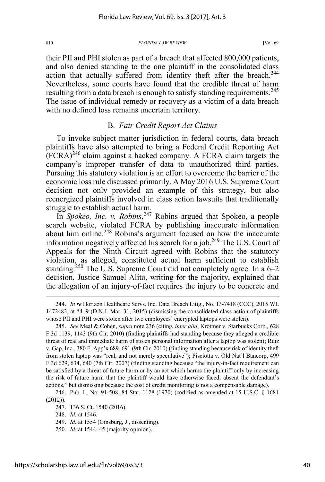their PII and PHI stolen as part of a breach that affected 800,000 patients, and also denied standing to the one plaintiff in the consolidated class action that actually suffered from identity theft after the breach.<sup>244</sup> Nevertheless, some courts have found that the credible threat of harm resulting from a data breach is enough to satisfy standing requirements.<sup>245</sup> The issue of individual remedy or recovery as a victim of a data breach with no defined loss remains uncertain territory.

### B. *Fair Credit Report Act Claims*

To invoke subject matter jurisdiction in federal courts, data breach plaintiffs have also attempted to bring a Federal Credit Reporting Act  $(FCRA)^{246}$  claim against a hacked company. A FCRA claim targets the company's improper transfer of data to unauthorized third parties. Pursuing this statutory violation is an effort to overcome the barrier of the economic loss rule discussed primarily. A May 2016 U.S. Supreme Court decision not only provided an example of this strategy, but also reenergized plaintiffs involved in class action lawsuits that traditionally struggle to establish actual harm.

In *Spokeo, Inc. v. Robins*, <sup>247</sup> Robins argued that Spokeo, a people search website, violated FCRA by publishing inaccurate information about him online.<sup>248</sup> Robins's argument focused on how the inaccurate information negatively affected his search for a job.<sup>249</sup> The U.S. Court of Appeals for the Ninth Circuit agreed with Robins that the statutory violation, as alleged, constituted actual harm sufficient to establish standing.<sup>250</sup> The U.S. Supreme Court did not completely agree. In a  $6-2$ decision, Justice Samuel Alito, writing for the majority, explained that the allegation of an injury-of-fact requires the injury to be concrete and

 <sup>244.</sup> *In re* Horizon Healthcare Servs. Inc. Data Breach Litig., No. 13-7418 (CCC), 2015 WL 1472483, at \*4–9 (D.N.J. Mar. 31, 2015) (dismissing the consolidated class action of plaintiffs whose PII and PHI were stolen after two employees' encrypted laptops were stolen).

<sup>245.</sup> *See* Meal & Cohen, *supra* note 236 (citing, *inter alia*, Krottner v. Starbucks Corp*.,* 628 F.3d 1139, 1143 (9th Cir. 2010) (finding plaintiffs had standing because they alleged a credible threat of real and immediate harm of stolen personal information after a laptop was stolen); Ruiz v. Gap, Inc*.*, 380 F. App'x 689, 691 (9th Cir. 2010) (finding standing because risk of identity theft from stolen laptop was "real, and not merely speculative"); Pisciotta v. Old Nat'l Bancorp, 499 F.3d 629, 634, 640 (7th Cir. 2007) (finding standing because "the injury-in-fact requirement can be satisfied by a threat of future harm or by an act which harms the plaintiff only by increasing the risk of future harm that the plaintiff would have otherwise faced, absent the defendant's actions," but dismissing because the cost of credit monitoring is not a compensable damage).

<sup>246.</sup> Pub. L. No. 91-508, 84 Stat. 1128 (1970) (codified as amended at 15 U.S.C. § 1681 (2012)).

<sup>247. 136</sup> S. Ct. 1540 (2016).

<sup>248.</sup> *Id.* at 1546.

<sup>249.</sup> *Id.* at 1554 (Ginsburg, J., dissenting).

<sup>250.</sup> *Id.* at 1544–45 (majority opinion).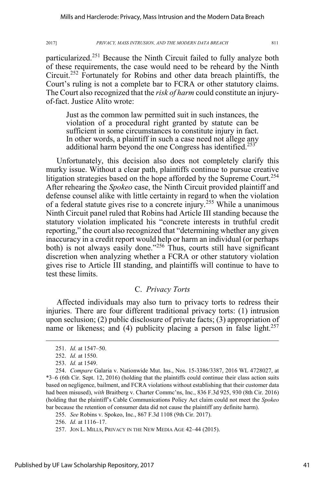particularized.<sup>251</sup> Because the Ninth Circuit failed to fully analyze both of these requirements, the case would need to be reheard by the Ninth Circuit.252 Fortunately for Robins and other data breach plaintiffs, the Court's ruling is not a complete bar to FCRA or other statutory claims. The Court also recognized that the *risk of harm* could constitute an injuryof-fact. Justice Alito wrote:

Just as the common law permitted suit in such instances, the violation of a procedural right granted by statute can be sufficient in some circumstances to constitute injury in fact. In other words, a plaintiff in such a case need not allege any additional harm beyond the one Congress has identified.<sup>253</sup>

Unfortunately, this decision also does not completely clarify this murky issue. Without a clear path, plaintiffs continue to pursue creative litigation strategies based on the hope afforded by the Supreme Court.<sup>254</sup> After rehearing the *Spokeo* case, the Ninth Circuit provided plaintiff and defense counsel alike with little certainty in regard to when the violation of a federal statute gives rise to a concrete injury.<sup>255</sup> While a unanimous Ninth Circuit panel ruled that Robins had Article III standing because the statutory violation implicated his "concrete interests in truthful credit reporting," the court also recognized that "determining whether any given inaccuracy in a credit report would help or harm an individual (or perhaps both) is not always easily done."<sup>256</sup> Thus, courts still have significant discretion when analyzing whether a FCRA or other statutory violation gives rise to Article III standing, and plaintiffs will continue to have to test these limits.

# C. *Privacy Torts*

Affected individuals may also turn to privacy torts to redress their injuries. There are four different traditional privacy torts: (1) intrusion upon seclusion; (2) public disclosure of private facts; (3) appropriation of name or likeness; and (4) publicity placing a person in false light. $257$ 

 <sup>251.</sup> *Id.* at 1547–50.

<sup>252.</sup> *Id.* at 1550.

<sup>253.</sup> *Id.* at 1549.

<sup>254.</sup> *Compare* Galaria v. Nationwide Mut. Ins., Nos. 15-3386/3387, 2016 WL 4728027, at \*3–6 (6th Cir. Sept. 12, 2016) (holding that the plaintiffs could continue their class action suits based on negligence, bailment, and FCRA violations without establishing that their customer data had been misused), *with* Braitberg v. Charter Commc'ns, Inc., 836 F.3d 925, 930 (8th Cir. 2016) (holding that the plaintiff's Cable Communications Policy Act claim could not meet the *Spokeo* bar because the retention of consumer data did not cause the plaintiff any definite harm).

<sup>255.</sup> *See* Robins v. Spokeo, Inc., 867 F.3d 1108 (9th Cir. 2017).

<sup>256.</sup> *Id.* at 1116–17.

<sup>257.</sup> JON L. MILLS, PRIVACY IN THE NEW MEDIA AGE 42–44 (2015).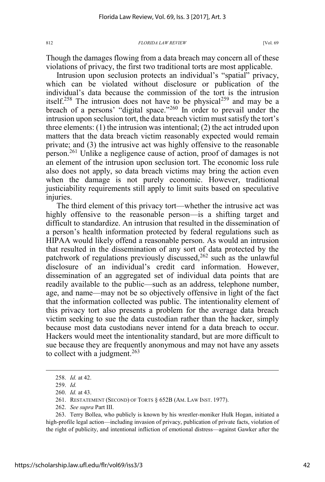Though the damages flowing from a data breach may concern all of these violations of privacy, the first two traditional torts are most applicable.

Intrusion upon seclusion protects an individual's "spatial" privacy, which can be violated without disclosure or publication of the individual's data because the commission of the tort is the intrusion itself.<sup>258</sup> The intrusion does not have to be physical<sup>259</sup> and may be a breach of a persons' "digital space."<sup>260</sup> In order to prevail under the intrusion upon seclusion tort, the data breach victim must satisfy the tort's three elements: (1) the intrusion was intentional; (2) the act intruded upon matters that the data breach victim reasonably expected would remain private; and (3) the intrusive act was highly offensive to the reasonable person.<sup>261</sup> Unlike a negligence cause of action, proof of damages is not an element of the intrusion upon seclusion tort. The economic loss rule also does not apply, so data breach victims may bring the action even when the damage is not purely economic. However, traditional justiciability requirements still apply to limit suits based on speculative injuries.

The third element of this privacy tort—whether the intrusive act was highly offensive to the reasonable person—is a shifting target and difficult to standardize. An intrusion that resulted in the dissemination of a person's health information protected by federal regulations such as HIPAA would likely offend a reasonable person. As would an intrusion that resulted in the dissemination of any sort of data protected by the patchwork of regulations previously discussed,<sup>262</sup> such as the unlawful disclosure of an individual's credit card information. However, dissemination of an aggregated set of individual data points that are readily available to the public—such as an address, telephone number, age, and name—may not be so objectively offensive in light of the fact that the information collected was public. The intentionality element of this privacy tort also presents a problem for the average data breach victim seeking to sue the data custodian rather than the hacker, simply because most data custodians never intend for a data breach to occur. Hackers would meet the intentionality standard, but are more difficult to sue because they are frequently anonymous and may not have any assets to collect with a judgment. $263$ 

 <sup>258.</sup> *Id.* at 42.

<sup>259.</sup> *Id.*

<sup>260.</sup> *Id.* at 43.

<sup>261.</sup> RESTATEMENT (SECOND) OF TORTS § 652B (AM. LAW INST. 1977).

<sup>262.</sup> *See supra* Part III.

<sup>263.</sup> Terry Bollea, who publicly is known by his wrestler-moniker Hulk Hogan, initiated a high-profile legal action—including invasion of privacy, publication of private facts, violation of the right of publicity, and intentional infliction of emotional distress—against Gawker after the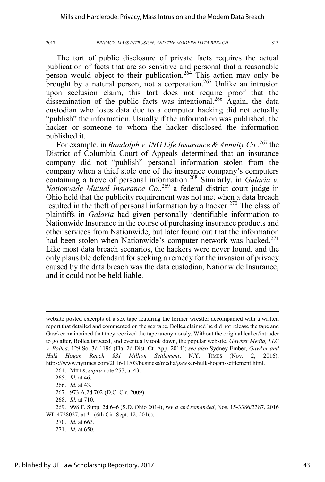The tort of public disclosure of private facts requires the actual publication of facts that are so sensitive and personal that a reasonable person would object to their publication.<sup>264</sup> This action may only be brought by a natural person, not a corporation.<sup>265</sup> Unlike an intrusion upon seclusion claim, this tort does not require proof that the dissemination of the public facts was intentional.<sup>266</sup> Again, the data custodian who loses data due to a computer hacking did not actually "publish" the information. Usually if the information was published, the hacker or someone to whom the hacker disclosed the information published it.

For example, in *Randolph v. ING Life Insurance & Annuity Co.*, <sup>267</sup> the District of Columbia Court of Appeals determined that an insurance company did not "publish" personal information stolen from the company when a thief stole one of the insurance company's computers containing a trove of personal information.<sup>268</sup> Similarly, in *Galaria v*. *Nationwide Mutual Insurance Co.*, <sup>269</sup> a federal district court judge in Ohio held that the publicity requirement was not met when a data breach resulted in the theft of personal information by a hacker.<sup>270</sup> The class of plaintiffs in *Galaria* had given personally identifiable information to Nationwide Insurance in the course of purchasing insurance products and other services from Nationwide, but later found out that the information had been stolen when Nationwide's computer network was hacked.<sup>271</sup> Like most data breach scenarios, the hackers were never found, and the only plausible defendant for seeking a remedy for the invasion of privacy caused by the data breach was the data custodian, Nationwide Insurance, and it could not be held liable.

264. MILLS, *supra* note 257, at 43.

 $\overline{a}$ 

266. *Id.* at 43.

267. 973 A.2d 702 (D.C. Cir. 2009).

268. *Id.* at 710.

270. *Id.* at 663.

website posted excerpts of a sex tape featuring the former wrestler accompanied with a written report that detailed and commented on the sex tape. Bollea claimed he did not release the tape and Gawker maintained that they received the tape anonymously. Without the original leaker/intruder to go after, Bollea targeted, and eventually took down, the popular website. *Gawker Media, LLC v. Bollea*, 129 So. 3d 1196 (Fla. 2d Dist. Ct. App. 2014); *see also* Sydney Ember, *Gawker and Hulk Hogan Reach \$31 Million Settlement*, N.Y. TIMES (Nov. 2, 2016), https://www.nytimes.com/2016/11/03/business/media/gawker-hulk-hogan-settlement.html.

<sup>265.</sup> *Id.* at 46.

<sup>269. 998</sup> F. Supp. 2d 646 (S.D. Ohio 2014), *rev'd and remanded*, Nos. 15-3386/3387, 2016 WL 4728027, at \*1 (6th Cir. Sept. 12, 2016).

<sup>271.</sup> *Id.* at 650.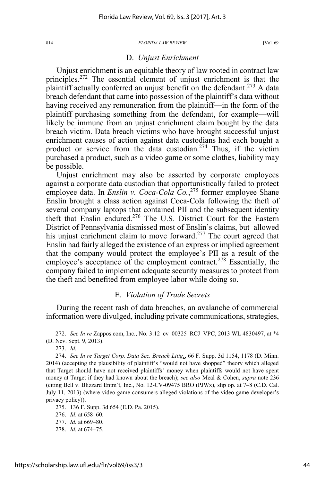### D. *Unjust Enrichment*

Unjust enrichment is an equitable theory of law rooted in contract law principles.<sup>272</sup> The essential element of unjust enrichment is that the plaintiff actually conferred an unjust benefit on the defendant.<sup>273</sup> A data breach defendant that came into possession of the plaintiff's data without having received any remuneration from the plaintiff—in the form of the plaintiff purchasing something from the defendant, for example—will likely be immune from an unjust enrichment claim bought by the data breach victim. Data breach victims who have brought successful unjust enrichment causes of action against data custodians had each bought a product or service from the data custodian.<sup>274</sup> Thus, if the victim purchased a product, such as a video game or some clothes, liability may be possible.

Unjust enrichment may also be asserted by corporate employees against a corporate data custodian that opportunistically failed to protect employee data. In *Enslin v. Coca-Cola Co.*,<sup>275</sup> former employee Shane Enslin brought a class action against Coca-Cola following the theft of several company laptops that contained PII and the subsequent identity theft that Enslin endured.276 The U.S. District Court for the Eastern District of Pennsylvania dismissed most of Enslin's claims, but allowed his unjust enrichment claim to move forward.<sup>277</sup> The court agreed that Enslin had fairly alleged the existence of an express or implied agreement that the company would protect the employee's PII as a result of the employee's acceptance of the employment contract.<sup>278</sup> Essentially, the company failed to implement adequate security measures to protect from the theft and benefited from employee labor while doing so.

# E. *Violation of Trade Secrets*

During the recent rash of data breaches, an avalanche of commercial information were divulged, including private communications, strategies,

278. *Id.* at 674–75.

 <sup>272.</sup> *See In re* Zappos.com, Inc., No. 3:12–cv–00325–RCJ–VPC, 2013 WL 4830497, at \*4 (D. Nev. Sept. 9, 2013).

<sup>273.</sup> *Id.*

<sup>274.</sup> *See In re Target Corp. Data Sec. Breach Litig.*, 66 F. Supp. 3d 1154, 1178 (D. Minn. 2014) (accepting the plausibility of plaintiff's "would not have shopped" theory which alleged that Target should have not received plaintiffs' money when plaintiffs would not have spent money at Target if they had known about the breach); *see also* Meal & Cohen, *supra* note 236 (citing Bell v. Blizzard Entm't, Inc., No. 12-CV-09475 BRO (PJWx), slip op. at 7–8 (C.D. Cal. July 11, 2013) (where video game consumers alleged violations of the video game developer's privacy policy)).

<sup>275. 136</sup> F. Supp. 3d 654 (E.D. Pa. 2015).

<sup>276.</sup> *Id*. at 658–60.

<sup>277.</sup> *Id.* at 669–80.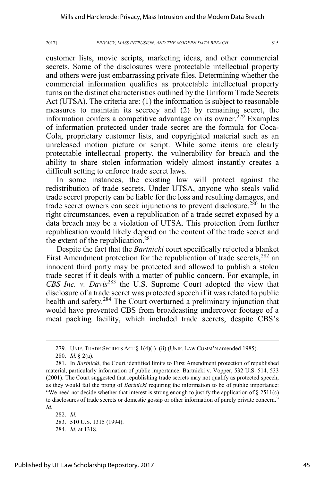customer lists, movie scripts, marketing ideas, and other commercial secrets. Some of the disclosures were protectable intellectual property and others were just embarrassing private files. Determining whether the commercial information qualifies as protectable intellectual property turns on the distinct characteristics outlined by the Uniform Trade Secrets Act (UTSA). The criteria are: (1) the information is subject to reasonable measures to maintain its secrecy and (2) by remaining secret, the information confers a competitive advantage on its owner.<sup> $279$ </sup> Examples of information protected under trade secret are the formula for Coca-Cola, proprietary customer lists, and copyrighted material such as an unreleased motion picture or script. While some items are clearly protectable intellectual property, the vulnerability for breach and the ability to share stolen information widely almost instantly creates a difficult setting to enforce trade secret laws.

In some instances, the existing law will protect against the redistribution of trade secrets. Under UTSA, anyone who steals valid trade secret property can be liable for the loss and resulting damages, and trade secret owners can seek injunctions to prevent disclosure.<sup>280</sup> In the right circumstances, even a republication of a trade secret exposed by a data breach may be a violation of UTSA. This protection from further republication would likely depend on the content of the trade secret and the extent of the republication.<sup>281</sup>

Despite the fact that the *Bartnicki* court specifically rejected a blanket First Amendment protection for the republication of trade secrets,  $282$  an innocent third party may be protected and allowed to publish a stolen trade secret if it deals with a matter of public concern. For example, in *CBS Inc. v. Davis*<sup>283</sup> the U.S. Supreme Court adopted the view that disclosure of a trade secret was protected speech if it was related to public health and safety.<sup>284</sup> The Court overturned a preliminary injunction that would have prevented CBS from broadcasting undercover footage of a meat packing facility, which included trade secrets, despite CBS's

282. *Id.* 283. 510 U.S. 1315 (1994). 284. *Id.* at 1318.

 <sup>279.</sup> UNIF. TRADE SECRETS ACT § 1(4)(i)–(ii) (UNIF. LAW COMM'<sup>N</sup> amended 1985).

<sup>280.</sup> *Id.* § 2(a).

<sup>281.</sup> In *Bartnicki*, the Court identified limits to First Amendment protection of republished material, particularly information of public importance. Bartnicki v. Vopper, 532 U.S. 514, 533 (2001). The Court suggested that republishing trade secrets may not qualify as protected speech, as they would fail the prong of *Bartnicki* requiring the information to be of public importance: "We need not decide whether that interest is strong enough to justify the application of  $\S 2511(c)$ to disclosures of trade secrets or domestic gossip or other information of purely private concern." *Id.*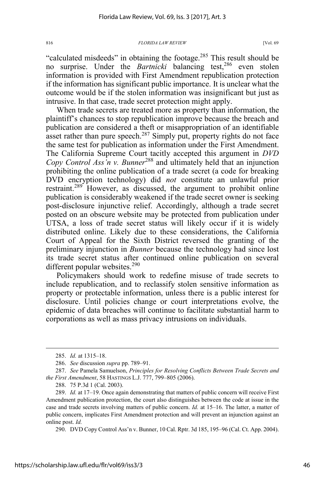"calculated misdeeds" in obtaining the footage.<sup>285</sup> This result should be no surprise. Under the *Bartnicki* balancing test,<sup>286</sup> even stolen information is provided with First Amendment republication protection if the information has significant public importance. It is unclear what the outcome would be if the stolen information was insignificant but just as intrusive. In that case, trade secret protection might apply.

When trade secrets are treated more as property than information, the plaintiff's chances to stop republication improve because the breach and publication are considered a theft or misappropriation of an identifiable asset rather than pure speech.<sup>287</sup> Simply put, property rights do not face the same test for publication as information under the First Amendment. The California Supreme Court tacitly accepted this argument in *DVD Copy Control Ass'n v. Bunner*<sup>288</sup> and ultimately held that an injunction prohibiting the online publication of a trade secret (a code for breaking DVD encryption technology) did *not* constitute an unlawful prior restraint.<sup>289</sup> However, as discussed, the argument to prohibit online publication is considerably weakened if the trade secret owner is seeking post-disclosure injunctive relief. Accordingly, although a trade secret posted on an obscure website may be protected from publication under UTSA, a loss of trade secret status will likely occur if it is widely distributed online. Likely due to these considerations, the California Court of Appeal for the Sixth District reversed the granting of the preliminary injunction in *Bunner* because the technology had since lost its trade secret status after continued online publication on several different popular websites.<sup>290</sup>

Policymakers should work to redefine misuse of trade secrets to include republication, and to reclassify stolen sensitive information as property or protectable information, unless there is a public interest for disclosure. Until policies change or court interpretations evolve, the epidemic of data breaches will continue to facilitate substantial harm to corporations as well as mass privacy intrusions on individuals.

290. DVD Copy Control Ass'n v. Bunner, 10 Cal. Rptr. 3d 185, 195–96 (Cal. Ct. App. 2004).

 <sup>285.</sup> *Id.* at 1315–18.

<sup>286.</sup> *See* discussion *supra* pp. 789–91.

<sup>287.</sup> *See* Pamela Samuelson, *Principles for Resolving Conflicts Between Trade Secrets and the First Amendment*, 58 HASTINGS L.J. 777, 799–805 (2006).

<sup>288. 75</sup> P.3d 1 (Cal. 2003).

<sup>289.</sup> *Id.* at 17–19. Once again demonstrating that matters of public concern will receive First Amendment publication protection, the court also distinguishes between the code at issue in the case and trade secrets involving matters of public concern. *Id.* at 15–16. The latter, a matter of public concern, implicates First Amendment protection and will prevent an injunction against an online post. *Id.*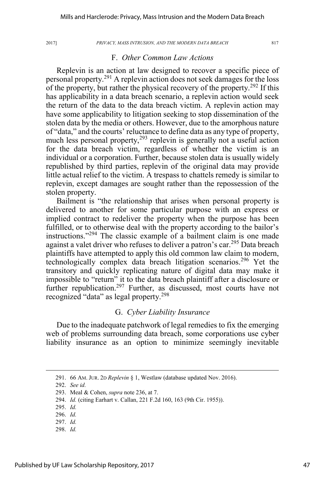# F. *Other Common Law Actions*

Replevin is an action at law designed to recover a specific piece of personal property.<sup>291</sup> A replevin action does not seek damages for the loss of the property, but rather the physical recovery of the property.<sup>292</sup> If this has applicability in a data breach scenario, a replevin action would seek the return of the data to the data breach victim. A replevin action may have some applicability to litigation seeking to stop dissemination of the stolen data by the media or others. However, due to the amorphous nature of "data," and the courts' reluctance to define data as any type of property, much less personal property,  $293$  replevin is generally not a useful action for the data breach victim, regardless of whether the victim is an individual or a corporation. Further, because stolen data is usually widely republished by third parties, replevin of the original data may provide little actual relief to the victim. A trespass to chattels remedy is similar to replevin, except damages are sought rather than the repossession of the stolen property.

Bailment is "the relationship that arises when personal property is delivered to another for some particular purpose with an express or implied contract to redeliver the property when the purpose has been fulfilled, or to otherwise deal with the property according to the bailor's instructions."<sup>294</sup> The classic example of a bailment claim is one made against a valet driver who refuses to deliver a patron's car.<sup>295</sup> Data breach plaintiffs have attempted to apply this old common law claim to modern, technologically complex data breach litigation scenarios.<sup>296</sup> Yet the transitory and quickly replicating nature of digital data may make it impossible to "return" it to the data breach plaintiff after a disclosure or further republication.<sup>297</sup> Further, as discussed, most courts have not recognized "data" as legal property.<sup>298</sup>

# G. *Cyber Liability Insurance*

Due to the inadequate patchwork of legal remedies to fix the emerging web of problems surrounding data breach, some corporations use cyber liability insurance as an option to minimize seemingly inevitable

295. *Id.*

- 297. *Id.*
- 298. *Id.*

47

 <sup>291. 66</sup> AM. JUR. 2D *Replevin* § 1, Westlaw (database updated Nov. 2016).

<sup>292.</sup> *See id.*

<sup>293.</sup> Meal & Cohen, *supra* note 236, at 7.

<sup>294.</sup> *Id.* (citing Earhart v. Callan, 221 F.2d 160, 163 (9th Cir. 1955)).

<sup>296.</sup> *Id.*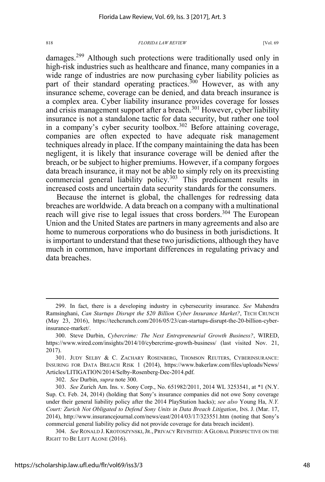damages.<sup>299</sup> Although such protections were traditionally used only in high-risk industries such as healthcare and finance, many companies in a wide range of industries are now purchasing cyber liability policies as part of their standard operating practices.<sup>300</sup> However, as with any insurance scheme, coverage can be denied, and data breach insurance is a complex area. Cyber liability insurance provides coverage for losses and crisis management support after a breach.<sup>301</sup> However, cyber liability insurance is not a standalone tactic for data security, but rather one tool in a company's cyber security toolbox.<sup>302</sup> Before attaining coverage, companies are often expected to have adequate risk management techniques already in place. If the company maintaining the data has been negligent, it is likely that insurance coverage will be denied after the breach, or be subject to higher premiums. However, if a company forgoes data breach insurance, it may not be able to simply rely on its preexisting commercial general liability policy.<sup>303</sup> This predicament results in increased costs and uncertain data security standards for the consumers.

Because the internet is global, the challenges for redressing data breaches are worldwide. A data breach on a company with a multinational reach will give rise to legal issues that cross borders.<sup>304</sup> The European Union and the United States are partners in many agreements and also are home to numerous corporations who do business in both jurisdictions. It is important to understand that these two jurisdictions, although they have much in common, have important differences in regulating privacy and data breaches.

302. *See* Durbin, *supra* note 300.

 <sup>299.</sup> In fact, there is a developing industry in cybersecurity insurance. *See* Mahendra Ramsinghani, *Can Startups Disrupt the \$20 Billion Cyber Insurance Market?*, TECH CRUNCH (May 23, 2016), https://techcrunch.com/2016/05/23/can-startups-disrupt-the-20-billion-cyberinsurance-market/.

<sup>300.</sup> Steve Durbin, *Cybercrime: The Next Entrepreneurial Growth Business?*, WIRED, https://www.wired.com/insights/2014/10/cybercrime-growth-business/ (last visited Nov. 21, 2017).

<sup>301.</sup> JUDY SELBY & C. ZACHARY ROSENBERG, THOMSON REUTERS, CYBERINSURANCE: INSURING FOR DATA BREACH RISK 1 (2014), https://www.bakerlaw.com/files/uploads/News/ Articles/LITIGATION/2014/Selby-Rosenberg-Dec-2014.pdf.

<sup>303.</sup> *See* Zurich Am. Ins. v. Sony Corp., No. 651982/2011, 2014 WL 3253541, at \*1 (N.Y. Sup. Ct. Feb. 24, 2014) (holding that Sony's insurance companies did not owe Sony coverage under their general liability policy after the 2014 PlayStation hacks); *see also* Young Ha, *N.Y. Court: Zurich Not Obligated to Defend Sony Units in Data Breach Litigation*, INS. J. (Mar. 17, 2014), http://www.insurancejournal.com/news/east/2014/03/17/323551.htm (noting that Sony's commercial general liability policy did not provide coverage for data breach incident).

<sup>304.</sup> *See* RONALD J. KROTOSZYNSKI, JR., PRIVACY REVISITED:AGLOBAL PERSPECTIVE ON THE RIGHT TO BE LEFT ALONE (2016).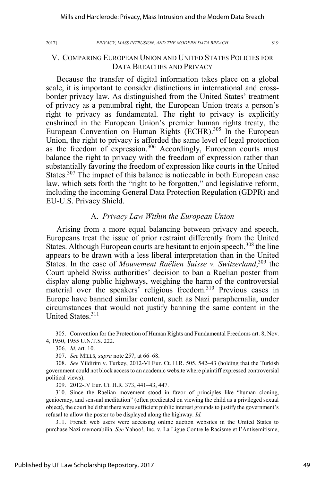# V. COMPARING EUROPEAN UNION AND UNITED STATES POLICIES FOR DATA BREACHES AND PRIVACY

Because the transfer of digital information takes place on a global scale, it is important to consider distinctions in international and crossborder privacy law. As distinguished from the United States' treatment of privacy as a penumbral right, the European Union treats a person's right to privacy as fundamental. The right to privacy is explicitly enshrined in the European Union's premier human rights treaty, the European Convention on Human Rights (ECHR).<sup>305</sup> In the European Union, the right to privacy is afforded the same level of legal protection as the freedom of expression.<sup>306</sup> Accordingly, European courts must balance the right to privacy with the freedom of expression rather than substantially favoring the freedom of expression like courts in the United States.<sup>307</sup> The impact of this balance is noticeable in both European case law, which sets forth the "right to be forgotten," and legislative reform, including the incoming General Data Protection Regulation (GDPR) and EU-U.S. Privacy Shield.

# A. *Privacy Law Within the European Union*

Arising from a more equal balancing between privacy and speech, Europeans treat the issue of prior restraint differently from the United States. Although European courts are hesitant to enjoin speech, <sup>308</sup> the line appears to be drawn with a less liberal interpretation than in the United States. In the case of *Mouvement Raëlien Suisse v. Switzerland*, <sup>309</sup> the Court upheld Swiss authorities' decision to ban a Raelian poster from display along public highways, weighing the harm of the controversial material over the speakers' religious freedom.<sup>310</sup> Previous cases in Europe have banned similar content, such as Nazi paraphernalia, under circumstances that would not justify banning the same content in the United States.<sup>311</sup>

309. 2012-IV Eur. Ct. H.R. 373, 441–43, 447.

310. Since the Raelian movement stood in favor of principles like "human cloning, geniocracy, and sensual meditation" (often predicated on viewing the child as a privileged sexual object), the court held that there were sufficient public interest grounds to justify the government's refusal to allow the poster to be displayed along the highway. *Id.*

311. French web users were accessing online auction websites in the United States to purchase Nazi memorabilia. *See* Yahoo!, Inc. v. La Ligue Contre le Racisme et l'Antisemitisme,

 <sup>305.</sup> Convention for the Protection of Human Rights and Fundamental Freedoms art. 8, Nov. 4, 1950, 1955 U.N.T.S. 222.

<sup>306.</sup> *Id.* art. 10.

<sup>307.</sup> *See* MILLS, *supra* note 257, at 66–68.

<sup>308.</sup> *See* Yildirim v. Turkey, 2012-VI Eur. Ct. H.R. 505, 542–43 (holding that the Turkish government could not block access to an academic website where plaintiff expressed controversial political views).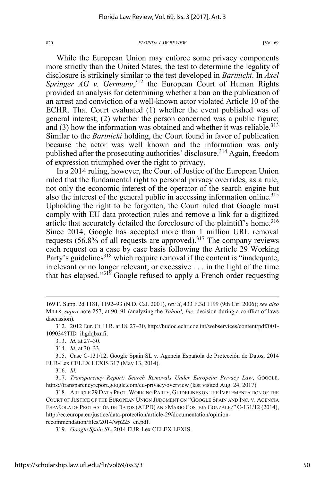While the European Union may enforce some privacy components more strictly than the United States, the test to determine the legality of disclosure is strikingly similar to the test developed in *Bartnicki*. In *Axel*  Springer AG v. Germany,<sup>312</sup> the European Court of Human Rights provided an analysis for determining whether a ban on the publication of an arrest and conviction of a well-known actor violated Article 10 of the ECHR. That Court evaluated (1) whether the event published was of general interest; (2) whether the person concerned was a public figure; and  $(3)$  how the information was obtained and whether it was reliable.<sup>313</sup> Similar to the *Bartnicki* holding, the Court found in favor of publication because the actor was well known and the information was only published after the prosecuting authorities' disclosure.<sup>314</sup> Again, freedom of expression triumphed over the right to privacy.

In a 2014 ruling, however, the Court of Justice of the European Union ruled that the fundamental right to personal privacy overrides, as a rule, not only the economic interest of the operator of the search engine but also the interest of the general public in accessing information online.<sup>315</sup> Upholding the right to be forgotten, the Court ruled that Google must comply with EU data protection rules and remove a link for a digitized article that accurately detailed the foreclosure of the plaintiff's home.<sup>316</sup> Since 2014, Google has accepted more than 1 million URL removal requests  $(56.8\% \text{ of all requests are approved})$ .<sup>317</sup> The company reviews each request on a case by case basis following the Article 29 Working Party's guidelines<sup>318</sup> which require removal if the content is "inadequate, irrelevant or no longer relevant, or excessive . . . in the light of the time that has elapsed." $31\overline{9}$  Google refused to apply a French order requesting

316. *Id.*

 $\overline{a}$ 

<sup>169</sup> F. Supp. 2d 1181, 1192–93 (N.D. Cal. 2001), *rev'd*, 433 F.3d 1199 (9th Cir. 2006); *see also* MILLS, *supra* note 257, at 90–91 (analyzing the *Yahoo!, Inc.* decision during a conflict of laws discussion).

<sup>312. 2012</sup> Eur. Ct. H.R. at 18, 27–30, http://hudoc.echr.coe.int/webservices/content/pdf/001- 109034?TID=ihgdqbxnfi.

<sup>313.</sup> *Id.* at 27–30.

<sup>314.</sup> *Id.* at 30–33.

<sup>315.</sup> Case C-131/12, Google Spain SL v. Agencia Española de Protección de Datos, 2014 EUR-Lex CELEX LEXIS 317 (May 13, 2014).

<sup>317.</sup> *Transparency Report: Search Removals Under European Privacy Law*, GOOGLE, https://transparencyreport.google.com/eu-privacy/overview (last visited Aug. 24, 2017).

<sup>318.</sup> ARTICLE 29 DATA PROT. WORKING PARTY, GUIDELINES ON THE IMPLEMENTATION OF THE COURT OF JUSTICE OF THE EUROPEAN UNION JUDGMENT ON "GOOGLE SPAIN AND INC. V. AGENCIA ESPAÑOLA DE PROTECCIÓN DE DATOS (AEPD) AND MARIO COSTEJA GONZÁLEZ" C-131/12 (2014), http://ec.europa.eu/justice/data-protection/article-29/documentation/opinionrecommendation/files/2014/wp225\_en.pdf.

<sup>319.</sup> *Google Spain SL*, 2014 EUR-Lex CELEX LEXIS.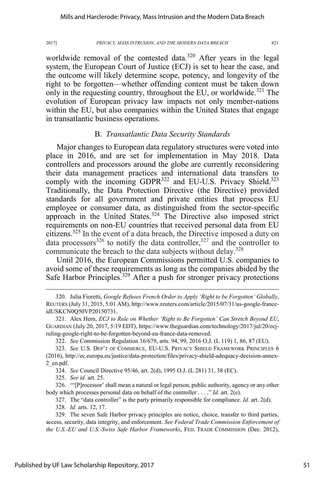worldwide removal of the contested data.<sup>320</sup> After years in the legal system, the European Court of Justice (ECJ) is set to hear the case, and the outcome will likely determine scope, potency, and longevity of the right to be forgotten—whether offending content must be taken down only in the requesting country, throughout the EU, or worldwide.<sup>321</sup> The evolution of European privacy law impacts not only member-nations within the EU, but also companies within the United States that engage in transatlantic business operations.

# B. *Transatlantic Data Security Standards*

Major changes to European data regulatory structures were voted into place in 2016, and are set for implementation in May 2018. Data controllers and processors around the globe are currently reconsidering their data management practices and international data transfers to comply with the incoming  $GDPR<sup>322</sup>$  and EU-U.S. Privacy Shield.<sup>323</sup> Traditionally, the Data Protection Directive (the Directive) provided standards for all government and private entities that process EU employee or consumer data, as distinguished from the sector-specific approach in the United States.<sup>324</sup> The Directive also imposed strict requirements on non-EU countries that received personal data from EU citizens.325 In the event of a data breach, the Directive imposed a duty on data processors<sup>326</sup> to notify the data controller,<sup>327</sup> and the controller to communicate the breach to the data subjects without delay.<sup>328</sup>

Until 2016, the European Commissions permitted U.S. companies to avoid some of these requirements as long as the companies abided by the Safe Harbor Principles.<sup>329</sup> After a push for stronger privacy protections

322. *See* Commission Regulation 16/679, arts. 94, 99, 2016 O.J. (L 119) 1, 86, 87 (EU).

324. *See* Council Directive 95/46, art. 2(d), 1995 O.J. (L 281) 31, 38 (EC).

326. '"[P]rocessor' shall mean a natural or legal person, public authority, agency or any other body which processes personal data on behalf of the controller . . . ." *Id.* art. 2(e).

327. The "data controller" is the party primarily responsible for compliance. *Id.* art. 2(d).

328. *Id.* arts. 12, 17.

 <sup>320.</sup> Julia Fioretti, *Google Refuses French Order to Apply 'Right to be Forgotten' Globally*, REUTERS (July 31, 2015, 5:01 AM), http://www.reuters.com/article/2015/07/31/us-google-franceidUSKCN0Q50VP20150731.

<sup>321.</sup> Alex Hern, *ECJ to Rule on Whether 'Right to Be Forgotten' Can Stretch Beyond EU*, GUARDIAN (July 20, 2017, 5:19 EDT), https://www.theguardian.com/technology/2017/jul/20/ecjruling-google-right-to-be-forgotten-beyond-eu-france-data-removed.

<sup>323.</sup> *See* U.S. DEP'T OF COMMERCE, EU-U.S. PRIVACY SHIELD FRAMEWORK PRINCIPLES 6 (2016), http://ec.europa.eu/justice/data-protection/files/privacy-shield-adequacy-decision-annex-2\_en.pdf.

<sup>325.</sup> *See id.* art. 25.

<sup>329.</sup> The seven Safe Harbor privacy principles are notice, choice, transfer to third parties, access, security, data integrity, and enforcement. *See Federal Trade Commission Enforcement of the U.S.-EU and U.S.-Swiss Safe Harbor Frameworks*, FED. TRADE COMMISSION (Dec. 2012),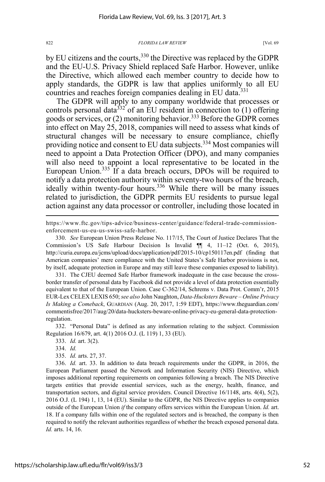$\overline{a}$ 

#### 822 *FLORIDA LAW REVIEW* [Vol. 69

by EU citizens and the courts,<sup>330</sup> the Directive was replaced by the GDPR and the EU-U.S. Privacy Shield replaced Safe Harbor. However, unlike the Directive, which allowed each member country to decide how to apply standards, the GDPR is law that applies uniformly to all EU countries and reaches foreign companies dealing in EU data.<sup>331</sup>

The GDPR will apply to any company worldwide that processes or controls personal data<sup>332</sup> of an EU resident in connection to  $(1)$  offering goods or services, or (2) monitoring behavior.<sup>333</sup> Before the GDPR comes into effect on May 25, 2018, companies will need to assess what kinds of structural changes will be necessary to ensure compliance, chiefly providing notice and consent to EU data subjects.<sup>334</sup> Most companies will need to appoint a Data Protection Officer (DPO), and many companies will also need to appoint a local representative to be located in the European Union.<sup>335</sup> If a data breach occurs, DPOs will be required to notify a data protection authority within seventy-two hours of the breach, ideally within twenty-four hours.<sup>336</sup> While there will be many issues related to jurisdiction, the GDPR permits EU residents to pursue legal action against any data processor or controller, including those located in

https://www.ftc.gov/tips-advice/business-center/guidance/federal-trade-commissionenforcement-us-eu-us-swiss-safe-harbor.

331. The CJEU deemed Safe Harbor framework inadequate in the case because the crossborder transfer of personal data by Facebook did not provide a level of data protection essentially equivalent to that of the European Union. Case C-362/14, Schrems v. Data Prot. Comm'r, 2015 EUR-Lex CELEX LEXIS 650;*see also* John Naughton, *Data-Hucksters Beware – Online Privacy Is Making a Comeback*, GUARDIAN (Aug. 20, 2017, 1:59 EDT), https://www.theguardian.com/ commentisfree/2017/aug/20/data-hucksters-beware-online-privacy-eu-general-data-protectionregulation.

332. "Personal Data" is defined as any information relating to the subject. Commission Regulation 16/679, art. 4(1) 2016 O.J. (L 119) 1, 33 (EU).

333. *Id.* art. 3(2).

335. *Id.* arts. 27, 37.

336. *Id.* art. 33. In addition to data breach requirements under the GDPR, in 2016, the European Parliament passed the Network and Information Security (NIS) Directive, which imposes additional reporting requirements on companies following a breach. The NIS Directive targets entities that provide essential services, such as the energy, health, finance, and transportation sectors, and digital service providers. Council Directive 16/1148, arts. 4(4), 5(2), 2016 O.J. (L 194) 1, 13, 14 (EU). Similar to the GDPR, the NIS Directive applies to companies outside of the European Union *if* the company offers services within the European Union. *Id.* art. 18. If a company falls within one of the regulated sectors and is breached, the company is then required to notify the relevant authorities regardless of whether the breach exposed personal data. *Id.* arts. 14, 16.

<sup>330.</sup> *See* European Union Press Release No. 117/15, The Court of Justice Declares That the Commission's US Safe Harbour Decision Is Invalid ¶¶ 4, 11–12 (Oct. 6, 2015), http://curia.europa.eu/jcms/upload/docs/application/pdf/2015-10/cp150117en.pdf (finding that American companies' mere compliance with the United States's Safe Harbor provisions is not, by itself, adequate protection in Europe and may still leave these companies exposed to liability).

<sup>334.</sup> *Id.*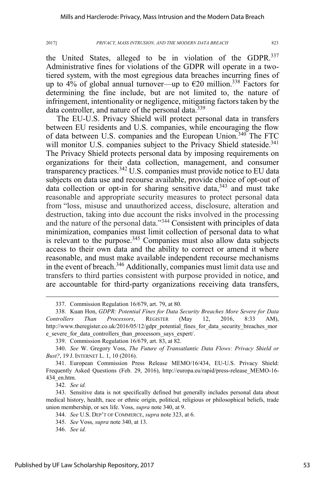the United States, alleged to be in violation of the GDPR.<sup>337</sup> Administrative fines for violations of the GDPR will operate in a twotiered system, with the most egregious data breaches incurring fines of up to 4% of global annual turnover—up to  $\epsilon$ 20 million.<sup>338</sup> Factors for determining the fine include, but are not limited to, the nature of infringement, intentionality or negligence, mitigating factors taken by the data controller, and nature of the personal data.<sup>339</sup>

The EU-U.S. Privacy Shield will protect personal data in transfers between EU residents and U.S. companies, while encouraging the flow of data between U.S. companies and the European Union.<sup>340</sup> The FTC will monitor U.S. companies subject to the Privacy Shield stateside.<sup>341</sup> The Privacy Shield protects personal data by imposing requirements on organizations for their data collection, management, and consumer transparency practices.<sup>342</sup> U.S. companies must provide notice to EU data subjects on data use and recourse available, provide choice of opt-out of data collection or opt-in for sharing sensitive data,  $343$  and must take reasonable and appropriate security measures to protect personal data from "loss, misuse and unauthorized access, disclosure, alteration and destruction, taking into due account the risks involved in the processing and the nature of the personal data."<sup>344</sup> Consistent with principles of data minimization, companies must limit collection of personal data to what is relevant to the purpose.  $345$  Companies must also allow data subjects access to their own data and the ability to correct or amend it where reasonable, and must make available independent recourse mechanisms in the event of breach.<sup>346</sup> Additionally, companies must limit data use and transfers to third parties consistent with purpose provided in notice, and are accountable for third-party organizations receiving data transfers,

342. *See id.*

 <sup>337.</sup> Commission Regulation 16/679, art. 79, at 80.

<sup>338.</sup> Kuan Hon, *GDPR: Potential Fines for Data Security Breaches More Severe for Data Controllers Than Processors*, REGISTER (May 12, 2016, 8:33 AM), http://www.theregister.co.uk/2016/05/12/gdpr\_potential\_fines\_for\_data\_security\_breaches\_mor e\_severe\_for\_data\_controllers\_than\_processors\_says\_expert/.

<sup>339.</sup> Commission Regulation 16/679, art. 83, at 82.

<sup>340.</sup> *See* W. Gregory Voss, *The Future of Transatlantic Data Flows: Privacy Shield or Bust?*, 19 J. INTERNET L. 1, 10 (2016).

<sup>341.</sup> European Commission Press Release MEMO/16/434, EU-U.S. Privacy Shield: Frequently Asked Questions (Feb. 29, 2016), http://europa.eu/rapid/press-release\_MEMO-16- 434\_en.htm.

<sup>343.</sup> Sensitive data is not specifically defined but generally includes personal data about medical history, health, race or ethnic origin, political, religious or philosophical beliefs, trade union membership, or sex life. Voss, *supra* note 340, at 9.

<sup>344.</sup> *See* U.S. DEP'T OF COMMERCE, *supra* note 323, at 6.

<sup>345.</sup> *See* Voss, *supra* note 340, at 13.

<sup>346.</sup> *See id.*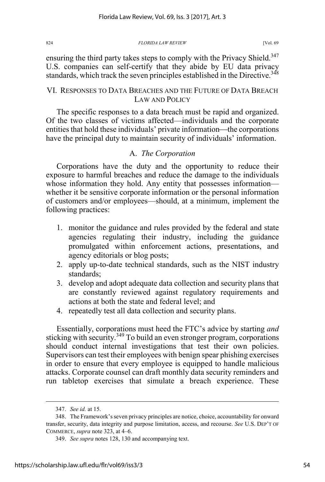ensuring the third party takes steps to comply with the Privacy Shield.<sup>347</sup> U.S. companies can self-certify that they abide by EU data privacy standards, which track the seven principles established in the Directive.<sup>348</sup>

# VI. RESPONSES TO DATA BREACHES AND THE FUTURE OF DATA BREACH LAW AND POLICY

The specific responses to a data breach must be rapid and organized. Of the two classes of victims affected—individuals and the corporate entities that hold these individuals' private information—the corporations have the principal duty to maintain security of individuals' information.

# A. *The Corporation*

Corporations have the duty and the opportunity to reduce their exposure to harmful breaches and reduce the damage to the individuals whose information they hold. Any entity that possesses information whether it be sensitive corporate information or the personal information of customers and/or employees—should, at a minimum, implement the following practices:

- 1. monitor the guidance and rules provided by the federal and state agencies regulating their industry, including the guidance promulgated within enforcement actions, presentations, and agency editorials or blog posts;
- 2. apply up-to-date technical standards, such as the NIST industry standards;
- 3. develop and adopt adequate data collection and security plans that are constantly reviewed against regulatory requirements and actions at both the state and federal level; and
- 4. repeatedly test all data collection and security plans.

Essentially, corporations must heed the FTC's advice by starting *and*  sticking with security.<sup>349</sup> To build an even stronger program, corporations should conduct internal investigations that test their own policies. Supervisors can test their employees with benign spear phishing exercises in order to ensure that every employee is equipped to handle malicious attacks. Corporate counsel can draft monthly data security reminders and run tabletop exercises that simulate a breach experience. These

 <sup>347.</sup> *See id.* at 15.

<sup>348.</sup> The Framework's seven privacy principles are notice, choice, accountability for onward transfer, security, data integrity and purpose limitation, access, and recourse. *See* U.S. DEP'T OF COMMERCE, *supra* note 323, at 4–6.

<sup>349.</sup> *See supra* notes 128, 130 and accompanying text.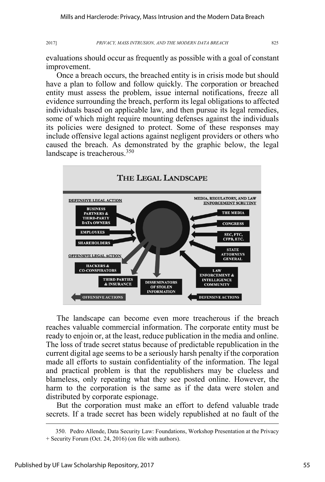evaluations should occur as frequently as possible with a goal of constant improvement.

Once a breach occurs, the breached entity is in crisis mode but should have a plan to follow and follow quickly. The corporation or breached entity must assess the problem, issue internal notifications, freeze all evidence surrounding the breach, perform its legal obligations to affected individuals based on applicable law, and then pursue its legal remedies, some of which might require mounting defenses against the individuals its policies were designed to protect. Some of these responses may include offensive legal actions against negligent providers or others who caused the breach. As demonstrated by the graphic below, the legal landscape is treacherous.<sup>350</sup>



The landscape can become even more treacherous if the breach reaches valuable commercial information. The corporate entity must be ready to enjoin or, at the least, reduce publication in the media and online. The loss of trade secret status because of predictable republication in the current digital age seems to be a seriously harsh penalty if the corporation made all efforts to sustain confidentiality of the information. The legal and practical problem is that the republishers may be clueless and blameless, only repeating what they see posted online. However, the harm to the corporation is the same as if the data were stolen and distributed by corporate espionage.

But the corporation must make an effort to defend valuable trade secrets. If a trade secret has been widely republished at no fault of the

 <sup>350.</sup> Pedro Allende, Data Security Law: Foundations, Workshop Presentation at the Privacy + Security Forum (Oct. 24, 2016) (on file with authors).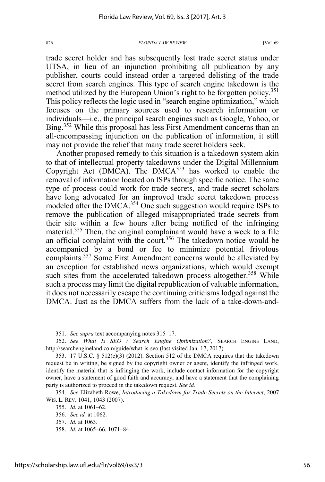trade secret holder and has subsequently lost trade secret status under UTSA, in lieu of an injunction prohibiting all publication by any publisher, courts could instead order a targeted delisting of the trade secret from search engines. This type of search engine takedown is the method utilized by the European Union's right to be forgotten policy.<sup>351</sup> This policy reflects the logic used in "search engine optimization," which focuses on the primary sources used to research information or individuals—i.e., the principal search engines such as Google, Yahoo, or Bing.<sup>352</sup> While this proposal has less First Amendment concerns than an all-encompassing injunction on the publication of information, it still may not provide the relief that many trade secret holders seek.

Another proposed remedy to this situation is a takedown system akin to that of intellectual property takedowns under the Digital Millennium Copyright Act (DMCA). The DMCA $353$  has worked to enable the removal of information located on ISPs through specific notice. The same type of process could work for trade secrets, and trade secret scholars have long advocated for an improved trade secret takedown process modeled after the DMCA.<sup>354</sup> One such suggestion would require ISPs to remove the publication of alleged misappropriated trade secrets from their site within a few hours after being notified of the infringing material.<sup>355</sup> Then, the original complainant would have a week to a file an official complaint with the court.<sup>356</sup> The takedown notice would be accompanied by a bond or fee to minimize potential frivolous complaints.<sup>357</sup> Some First Amendment concerns would be alleviated by an exception for established news organizations, which would exempt such sites from the accelerated takedown process altogether.<sup>358</sup> While such a process may limit the digital republication of valuable information, it does not necessarily escape the continuing criticisms lodged against the DMCA. Just as the DMCA suffers from the lack of a take-down-and-

358. *Id.* at 1065–66, 1071–84.

 <sup>351.</sup> *See supra* text accompanying notes 315–17.

<sup>352.</sup> *See What Is SEO / Search Engine Optimization?*, SEARCH ENGINE LAND, http://searchengineland.com/guide/what-is-seo (last visited Jan. 17, 2017).

<sup>353. 17</sup> U.S.C.  $\S$  512(c)(3) (2012). Section 512 of the DMCA requires that the takedown request be in writing, be signed by the copyright owner or agent, identify the infringed work, identify the material that is infringing the work, include contact information for the copyright owner, have a statement of good faith and accuracy, and have a statement that the complaining party is authorized to proceed in the takedown request. *See id.*

<sup>354.</sup> *See* Elizabeth Rowe, *Introducing a Takedown for Trade Secrets on the Internet*, 2007 WIS. L. REV. 1041, 1043 (2007).

<sup>355.</sup> *Id.* at 1061–62.

<sup>356.</sup> *See id.* at 1062.

<sup>357.</sup> *Id.* at 1063.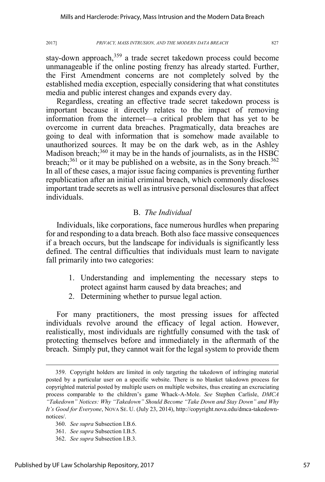stay-down approach,<sup>359</sup> a trade secret takedown process could become unmanageable if the online posting frenzy has already started. Further, the First Amendment concerns are not completely solved by the established media exception, especially considering that what constitutes media and public interest changes and expands every day.

Regardless, creating an effective trade secret takedown process is important because it directly relates to the impact of removing information from the internet—a critical problem that has yet to be overcome in current data breaches. Pragmatically, data breaches are going to deal with information that is somehow made available to unauthorized sources. It may be on the dark web, as in the Ashley Madison breach; $360$  it may be in the hands of journalists, as in the HSBC breach; $^{361}$  or it may be published on a website, as in the Sony breach. $^{362}$ In all of these cases, a major issue facing companies is preventing further republication after an initial criminal breach, which commonly discloses important trade secrets as well as intrusive personal disclosures that affect individuals.

# B. *The Individual*

Individuals, like corporations, face numerous hurdles when preparing for and responding to a data breach. Both also face massive consequences if a breach occurs, but the landscape for individuals is significantly less defined. The central difficulties that individuals must learn to navigate fall primarily into two categories:

- 1. Understanding and implementing the necessary steps to protect against harm caused by data breaches; and
- 2. Determining whether to pursue legal action.

For many practitioners, the most pressing issues for affected individuals revolve around the efficacy of legal action. However, realistically, most individuals are rightfully consumed with the task of protecting themselves before and immediately in the aftermath of the breach. Simply put, they cannot wait for the legal system to provide them

 <sup>359.</sup> Copyright holders are limited in only targeting the takedown of infringing material posted by a particular user on a specific website. There is no blanket takedown process for copyrighted material posted by multiple users on multiple websites, thus creating an excruciating process comparable to the children's game Whack-A-Mole. *See* Stephen Carlisle, *DMCA "Takedown" Notices: Why "Takedown" Should Become "Take Down and Stay Down" and Why It's Good for Everyone*, NOVA SE. U. (July 23, 2014), http://copyright.nova.edu/dmca-takedownnotices/.

<sup>360.</sup> *See supra* Subsection I.B.6.

<sup>361.</sup> *See supra* Subsection I.B.5.

<sup>362.</sup> *See supra* Subsection I.B.3.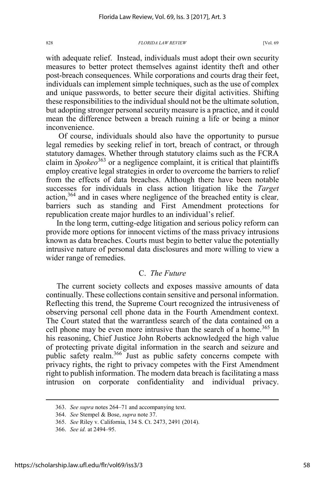with adequate relief. Instead, individuals must adopt their own security measures to better protect themselves against identity theft and other post-breach consequences. While corporations and courts drag their feet, individuals can implement simple techniques, such as the use of complex and unique passwords, to better secure their digital activities. Shifting these responsibilities to the individual should not be the ultimate solution, but adopting stronger personal security measure is a practice, and it could mean the difference between a breach ruining a life or being a minor inconvenience.

Of course, individuals should also have the opportunity to pursue legal remedies by seeking relief in tort, breach of contract, or through statutory damages. Whether through statutory claims such as the FCRA claim in *Spokeo*<sup>363</sup> or a negligence complaint, it is critical that plaintiffs employ creative legal strategies in order to overcome the barriers to relief from the effects of data breaches. Although there have been notable successes for individuals in class action litigation like the *Target* action,364 and in cases where negligence of the breached entity is clear*,* barriers such as standing and First Amendment protections for republication create major hurdles to an individual's relief.

In the long term, cutting-edge litigation and serious policy reform can provide more options for innocent victims of the mass privacy intrusions known as data breaches. Courts must begin to better value the potentially intrusive nature of personal data disclosures and more willing to view a wider range of remedies.

# C. *The Future*

The current society collects and exposes massive amounts of data continually. These collections contain sensitive and personal information. Reflecting this trend, the Supreme Court recognized the intrusiveness of observing personal cell phone data in the Fourth Amendment context. The Court stated that the warrantless search of the data contained on a cell phone may be even more intrusive than the search of a home.<sup>365</sup> In his reasoning, Chief Justice John Roberts acknowledged the high value of protecting private digital information in the search and seizure and public safety realm.<sup>366</sup> Just as public safety concerns compete with privacy rights, the right to privacy competes with the First Amendment right to publish information. The modern data breach is facilitating a mass intrusion on corporate confidentiality and individual privacy.

 <sup>363.</sup> *See supra* notes 264–71 and accompanying text.

<sup>364.</sup> *See* Stempel & Bose, *supra* note 37.

<sup>365.</sup> *See* Riley v. California, 134 S. Ct. 2473, 2491 (2014).

<sup>366.</sup> *See id.* at 2494–95.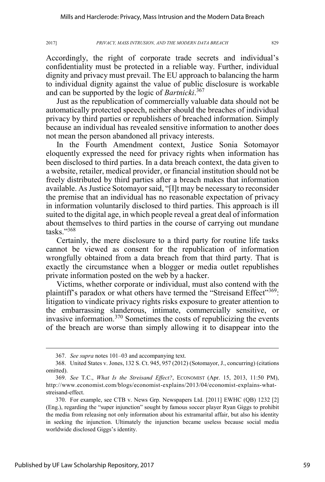Accordingly, the right of corporate trade secrets and individual's confidentiality must be protected in a reliable way. Further, individual dignity and privacy must prevail. The EU approach to balancing the harm to individual dignity against the value of public disclosure is workable and can be supported by the logic of *Bartnicki*. 367

Just as the republication of commercially valuable data should not be automatically protected speech, neither should the breaches of individual privacy by third parties or republishers of breached information. Simply because an individual has revealed sensitive information to another does not mean the person abandoned all privacy interests.

In the Fourth Amendment context, Justice Sonia Sotomayor eloquently expressed the need for privacy rights when information has been disclosed to third parties. In a data breach context, the data given to a website, retailer, medical provider, or financial institution should not be freely distributed by third parties after a breach makes that information available. As Justice Sotomayor said, "[I]t may be necessary to reconsider the premise that an individual has no reasonable expectation of privacy in information voluntarily disclosed to third parties. This approach is ill suited to the digital age, in which people reveal a great deal of information about themselves to third parties in the course of carrying out mundane tasks."<sup>368</sup>

Certainly, the mere disclosure to a third party for routine life tasks cannot be viewed as consent for the republication of information wrongfully obtained from a data breach from that third party. That is exactly the circumstance when a blogger or media outlet republishes private information posted on the web by a hacker.

Victims, whether corporate or individual, must also contend with the plaintiff's paradox or what others have termed the "Streisand Effect"<sup>369</sup>: litigation to vindicate privacy rights risks exposure to greater attention to the embarrassing slanderous, intimate, commercially sensitive, or invasive information.<sup>370</sup> Sometimes the costs of republicizing the events of the breach are worse than simply allowing it to disappear into the

 <sup>367.</sup> *See supra* notes 101–03 and accompanying text.

<sup>368.</sup> United States v. Jones, 132 S. Ct. 945, 957 (2012) (Sotomayor, J., concurring) (citations omitted).

<sup>369.</sup> *See* T.C., *What Is the Streisand Effect?*, ECONOMIST (Apr. 15, 2013, 11:50 PM), http://www.economist.com/blogs/economist-explains/2013/04/economist-explains-whatstreisand-effect.

<sup>370.</sup> For example, see CTB v. News Grp. Newspapers Ltd. [2011] EWHC (QB) 1232 [2] (Eng.), regarding the "super injunction" sought by famous soccer player Ryan Giggs to prohibit the media from releasing not only information about his extramarital affair, but also his identity in seeking the injunction. Ultimately the injunction became useless because social media worldwide disclosed Giggs's identity.